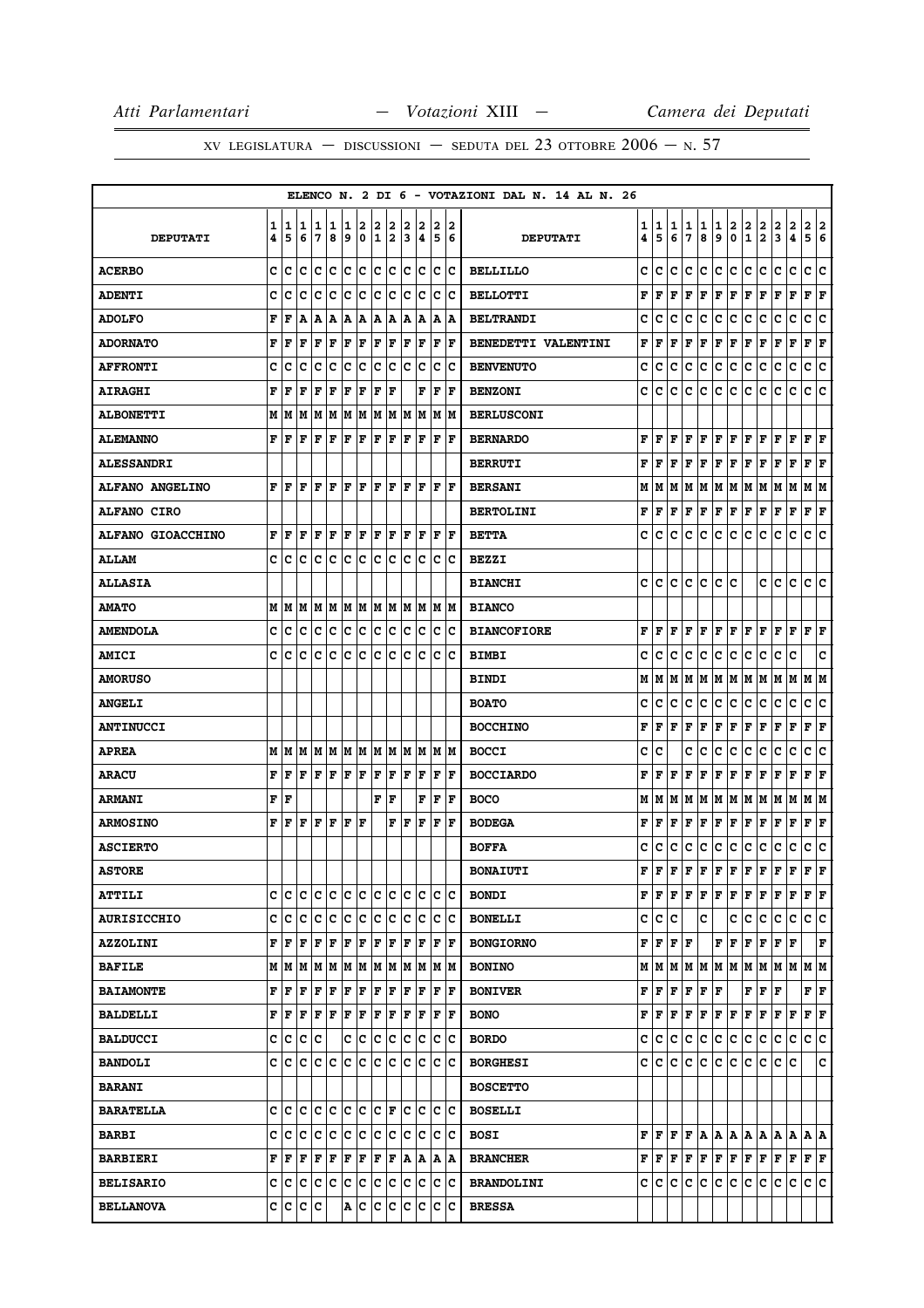|                          |        |        |           |        |        |        |        |                   |                              |        |        |             |                      |        | ELENCO N. 2 DI 6 - VOTAZIONI DAL N. 14 AL N. 26 |        |                                      |        |        |                                                                                                                             |                                    |                |                   |                                                   |                                                                                                                                                                                                                                                                                                                                                                                               |                                                                                                                                                                                                                                            |                           |        |
|--------------------------|--------|--------|-----------|--------|--------|--------|--------|-------------------|------------------------------|--------|--------|-------------|----------------------|--------|-------------------------------------------------|--------|--------------------------------------|--------|--------|-----------------------------------------------------------------------------------------------------------------------------|------------------------------------|----------------|-------------------|---------------------------------------------------|-----------------------------------------------------------------------------------------------------------------------------------------------------------------------------------------------------------------------------------------------------------------------------------------------------------------------------------------------------------------------------------------------|--------------------------------------------------------------------------------------------------------------------------------------------------------------------------------------------------------------------------------------------|---------------------------|--------|
| <b>DEPUTATI</b>          | 1<br>4 | 1<br>5 | 1<br>6    | 1<br>7 | 1<br>8 | 1<br>9 | 2<br>0 | 2<br>$\mathbf{1}$ | 2<br>2                       | 2<br>3 | 2<br>4 | 2<br>5      |                      | 2<br>6 | <b>DEPUTATI</b>                                 | 1<br>4 | 1<br>5                               | 1<br>6 | 1<br>7 | 1<br>8                                                                                                                      | 1<br>9                             | 2<br>$\pmb{0}$ | 2<br>$\mathbf{1}$ | 2<br>$\overline{\mathbf{2}}$                      | 2<br>3                                                                                                                                                                                                                                                                                                                                                                                        | 2<br>4                                                                                                                                                                                                                                     | 2<br>5                    | 2<br>6 |
| <b>ACERBO</b>            | c      | c      | c         | c      | Iс     | lc.    | c      | lc                | Iс                           | lc.    | Iс     | c           |                      | Ιc     | <b>BELLILLO</b>                                 | c      | c                                    | c      | c      | c                                                                                                                           | c                                  | c              | c                 | c                                                 | c                                                                                                                                                                                                                                                                                                                                                                                             | C                                                                                                                                                                                                                                          | c                         | C      |
| <b>ADENTI</b>            | c      | c      | c         | c      | c      | c      | c      | c                 | c                            | c      | c      | c           |                      | Iс     | <b>BELLOTTI</b>                                 | F      | l F                                  | F      | F      | F                                                                                                                           | F                                  | F              | F                 | F                                                 | F                                                                                                                                                                                                                                                                                                                                                                                             | F                                                                                                                                                                                                                                          | F                         | F      |
| <b>ADOLFO</b>            | F      | F      | A         | A      | A      | A      | Α      | A                 | A                            | А      | A      | A           |                      | ۱A     | <b>BELTRANDI</b>                                | c      | c                                    | с      | c      | с                                                                                                                           | с                                  | c              | c                 | c                                                 | c                                                                                                                                                                                                                                                                                                                                                                                             | c                                                                                                                                                                                                                                          | с                         | c      |
| <b>ADORNATO</b>          | F      | F      | F         | F      | F      | F      | F      | F                 | F                            | F      | F      | $\mathbf F$ |                      | F      | BENEDETTI VALENTINI                             | F      | l F                                  | F      | F      | F                                                                                                                           | F                                  | F              | F                 | F                                                 | F                                                                                                                                                                                                                                                                                                                                                                                             | F                                                                                                                                                                                                                                          | F                         | F      |
| <b>AFFRONTI</b>          | c      | c      | c         | c      | c      | c      | c      | c                 | с                            | c      | Iс     | c           |                      | Ιc     | <b>BENVENUTO</b>                                | c      | c                                    | с      | c      | с                                                                                                                           | с                                  | c              | с                 | с                                                 | c                                                                                                                                                                                                                                                                                                                                                                                             | c                                                                                                                                                                                                                                          | c                         | c      |
| <b>AIRAGHI</b>           | F      | F      | F         | F      | F      | F      | F      | F                 | F                            |        | F      | F           |                      | l F    | <b>BENZONI</b>                                  | c      | Iс                                   | с      | Iс     | c                                                                                                                           | c                                  | c              | с                 | c                                                 | c                                                                                                                                                                                                                                                                                                                                                                                             | c                                                                                                                                                                                                                                          | c c                       |        |
| <b>ALBONETTI</b>         |        | MM     | M         | M      | IМ     | M      | M      |                   | M M                          | lМ     | lМ     | м           |                      | lМ     | <b>BERLUSCONI</b>                               |        |                                      |        |        |                                                                                                                             |                                    |                |                   |                                                   |                                                                                                                                                                                                                                                                                                                                                                                               |                                                                                                                                                                                                                                            |                           |        |
| <b>ALEMANNO</b>          | F      | l F    | l F       | F      | F      | F      | F      | F                 | F                            | F      | F      | F           |                      | F      | <b>BERNARDO</b>                                 | F      | lF.                                  | lF.    |        | FF                                                                                                                          | F F                                |                | F F               |                                                   | F                                                                                                                                                                                                                                                                                                                                                                                             | F                                                                                                                                                                                                                                          | $\bf{F}$ $\bf{F}$         |        |
| <b>ALESSANDRI</b>        |        |        |           |        |        |        |        |                   |                              |        |        |             |                      |        | <b>BERRUTI</b>                                  | F      | l F                                  | F      | l F    | F                                                                                                                           | F                                  | F              | F                 | F                                                 | F                                                                                                                                                                                                                                                                                                                                                                                             | F                                                                                                                                                                                                                                          | F                         | F      |
| ALFANO ANGELINO          | F      | ١F     | l F       | F      | l F    | F      | l F    | F                 | lF.                          | lF.    | F      | F           |                      | lF.    | <b>BERSANI</b>                                  |        |                                      |        |        | M   M   M   M   M   M   M                                                                                                   |                                    |                | M M               |                                                   | M                                                                                                                                                                                                                                                                                                                                                                                             | M                                                                                                                                                                                                                                          | M   M                     |        |
| <b>ALFANO CIRO</b>       |        |        |           |        |        |        |        |                   |                              |        |        |             |                      |        | <b>BERTOLINI</b>                                | F      | F                                    | F      | F      | F                                                                                                                           | F                                  | F              | F                 | F                                                 | F                                                                                                                                                                                                                                                                                                                                                                                             | F                                                                                                                                                                                                                                          | F                         | F      |
| <b>ALFANO GIOACCHINO</b> | F      | F      | l F       | F      | F      | F      | F      | ΙF                | F                            | F      | F      | F           |                      | ١F     | <b>BETTA</b>                                    | c      | с                                    | с      | c      | с                                                                                                                           | c                                  | c              | c                 | с                                                 | c                                                                                                                                                                                                                                                                                                                                                                                             | c                                                                                                                                                                                                                                          | c                         | c      |
| <b>ALLAM</b>             |        | c c    | Iс        | Iс     | Ιc     | Ιc     | Iс     | c                 | Iс                           | lc.    | Iс     | Iс          |                      | ١c     | <b>BEZZI</b>                                    |        |                                      |        |        |                                                                                                                             |                                    |                |                   |                                                   |                                                                                                                                                                                                                                                                                                                                                                                               |                                                                                                                                                                                                                                            |                           |        |
| <b>ALLASIA</b>           |        |        |           |        |        |        |        |                   |                              |        |        |             |                      |        | <b>BIANCHI</b>                                  |        | c  c                                 | c      | lc.    | c                                                                                                                           | c                                  | c              |                   | c                                                 | c                                                                                                                                                                                                                                                                                                                                                                                             | c                                                                                                                                                                                                                                          | c                         | c      |
| <b>AMATO</b>             |        |        | M   M   M |        |        |        |        |                   | M  M  M  M  M  M  M  M  M  M |        |        |             |                      |        | <b>BIANCO</b>                                   |        |                                      |        |        |                                                                                                                             |                                    |                |                   |                                                   |                                                                                                                                                                                                                                                                                                                                                                                               |                                                                                                                                                                                                                                            |                           |        |
| <b>AMENDOLA</b>          | c      | c      | c         | c      | c      | c      | c      | c                 | c                            | c      | c      | c           |                      | c      | <b>BIANCOFIORE</b>                              | F      | ١F                                   | F      | F      | F                                                                                                                           | F                                  | F              | F                 | F                                                 | F                                                                                                                                                                                                                                                                                                                                                                                             | F                                                                                                                                                                                                                                          | F                         | ΙF     |
| <b>AMICI</b>             | c      | c      | c         | c      | c      | c      | c      | lc                | lc                           | C      | lc     | c           |                      | Ιc     | <b>BIMBI</b>                                    | c      | c                                    | c      | Iс     | с                                                                                                                           | с                                  | lc.            | с                 | с                                                 | с                                                                                                                                                                                                                                                                                                                                                                                             | c                                                                                                                                                                                                                                          |                           | c      |
| <b>AMORUSO</b>           |        |        |           |        |        |        |        |                   |                              |        |        |             |                      |        | <b>BINDI</b>                                    | М      | IМ                                   |        |        | M  M  M  M  M  M  M                                                                                                         |                                    |                |                   |                                                   | M M                                                                                                                                                                                                                                                                                                                                                                                           |                                                                                                                                                                                                                                            | M M                       |        |
| <b>ANGELI</b>            |        |        |           |        |        |        |        |                   |                              |        |        |             |                      |        | <b>BOATO</b>                                    | c      | c                                    | c      | c      | c                                                                                                                           | c                                  | IС             | с                 | c                                                 | с                                                                                                                                                                                                                                                                                                                                                                                             | c                                                                                                                                                                                                                                          | c                         | c      |
| <b>ANTINUCCI</b>         |        |        |           |        |        |        |        |                   |                              |        |        |             |                      |        | <b>BOCCHINO</b>                                 | F      | F                                    | F      | F      | F                                                                                                                           | F F                                |                | F                 | F                                                 | F                                                                                                                                                                                                                                                                                                                                                                                             | F                                                                                                                                                                                                                                          | $ {\bf F}  {\bf F} $      |        |
| <b>APREA</b>             |        | MM     | lМ        |        | MM     |        | M M    |                   | M  M                         | lм     | M      | M           |                      | lм     | <b>BOCCI</b>                                    | c      | c                                    |        | c      | c                                                                                                                           | с                                  | с              | c                 | c                                                 | c                                                                                                                                                                                                                                                                                                                                                                                             | c                                                                                                                                                                                                                                          | c                         | c      |
| <b>ARACU</b>             | F      | F      | F         | F      | F      | F      | F      | F                 | F                            | F      | F      | F           |                      | F      | <b>BOCCIARDO</b>                                | F      | F                                    | F      | F      | F                                                                                                                           | F                                  | F              | F                 | F                                                 | F                                                                                                                                                                                                                                                                                                                                                                                             | F                                                                                                                                                                                                                                          | F                         | F      |
| <b>ARMANI</b>            | F      | lF     |           |        |        |        |        | F                 | F                            |        | F      | F           |                      | F      | <b>BOCO</b>                                     | М      | M                                    |        | M M    |                                                                                                                             | M   M   M                          |                | M M               |                                                   | M                                                                                                                                                                                                                                                                                                                                                                                             | lм                                                                                                                                                                                                                                         | M   M                     |        |
| <b>ARMOSINO</b>          | F      | l F    | F         | F      | F      | F      | ΙF     |                   | F                            | F      | F      | $\mathbf F$ |                      | F      | <b>BODEGA</b>                                   | F      | F                                    | F      | F      | F                                                                                                                           | F                                  | F              | F                 | F                                                 | F                                                                                                                                                                                                                                                                                                                                                                                             | F                                                                                                                                                                                                                                          | F                         | F      |
| <b>ASCIERTO</b>          |        |        |           |        |        |        |        |                   |                              |        |        |             |                      |        | <b>BOFFA</b>                                    | c      | c                                    | c      | c      | с                                                                                                                           | с                                  | c              | c                 | c                                                 | c                                                                                                                                                                                                                                                                                                                                                                                             | c                                                                                                                                                                                                                                          | с                         | c      |
| <b>ASTORE</b>            |        |        |           |        |        |        |        |                   |                              |        |        |             |                      |        | <b>BONAIUTI</b>                                 | F      | ΙF                                   | F      | F      | F                                                                                                                           | F                                  | F              | F                 | F                                                 | F                                                                                                                                                                                                                                                                                                                                                                                             | $\mathbf F$                                                                                                                                                                                                                                | F                         | F      |
| <b>ATTILI</b>            |        | c c c  |           |        |        |        |        |                   | c c c c c c                  |        | c c    |             | c c                  |        | <b>BONDI</b>                                    |        |                                      |        |        |                                                                                                                             |                                    |                |                   |                                                   | ${\bf F}\, \,{\bf F}\, \,{\bf F}\, \,{\bf F}\, \,{\bf F}\, \,{\bf F}\, \,{\bf F}\, \,{\bf F}\, \,{\bf F}\, \,{\bf F}\, \,{\bf F}\,$                                                                                                                                                                                                                                                           |                                                                                                                                                                                                                                            | F F                       |        |
| <b>AURISICCHIO</b>       |        | c  c   | lc        | c      | c      | lc.    | c      | lc.               | Ιc                           | lc.    | Ιc     | lc.         |                      | Iс     | <b>BONELLI</b>                                  |        | c c                                  | ١c     |        | c                                                                                                                           |                                    | c              | lc.               | lc.                                               | с                                                                                                                                                                                                                                                                                                                                                                                             | c                                                                                                                                                                                                                                          | c c                       |        |
| <b>AZZOLINI</b>          |        | FF     | F         | F      | F      | F      | F      | F                 | $ {\bf F} $                  | F      | F      | F           |                      | F      | <b>BONGIORNO</b>                                |        | ${\bf F}$ $\bf{F}$ $\bf{F}$ $\bf{F}$ |        |        |                                                                                                                             | ${\bf F}$ $\left  {\bf F} \right $ |                | F                 | F                                                 | F                                                                                                                                                                                                                                                                                                                                                                                             | F                                                                                                                                                                                                                                          |                           | F      |
| <b>BAFILE</b>            | M      | lм     | M         | M      | lм     | M      | M      | M                 | M                            | lм     | M      |             | M   M                |        | <b>BONINO</b>                                   |        |                                      |        |        | $M$ $ M$ $ M$ $ M$ $ M$ $ M$ $ M$ $ M$ $ M$                                                                                 |                                    |                |                   |                                                   | MM                                                                                                                                                                                                                                                                                                                                                                                            |                                                                                                                                                                                                                                            | M M                       |        |
| <b>BAIAMONTE</b>         | F      | F      | F         | F      | F      | F      | F      | F                 | F                            | F      | F      |             | F  F                 |        | <b>BONIVER</b>                                  |        |                                      |        |        | $\mathbf{F} \left  \mathbf{F} \right  \mathbf{F} \left  \mathbf{F} \right  \mathbf{F} \left  \mathbf{F} \right.$            |                                    |                |                   | $\mathbf{F} \left  \mathbf{F} \right  \mathbf{F}$ |                                                                                                                                                                                                                                                                                                                                                                                               |                                                                                                                                                                                                                                            | $\mathbf{F}   \mathbf{F}$ |        |
| <b>BALDELLI</b>          |        | FF     | F         | F      | ΙF     | F F    |        |                   | F F                          |        | F F    |             | F F                  |        | <b>BONO</b>                                     |        |                                      |        |        | $\mathbf{F} \left  \mathbf{F} \right  \mathbf{F} \left  \mathbf{F} \right  \mathbf{F} \left  \mathbf{F} \right  \mathbf{F}$ |                                    |                | F F               |                                                   | $ {\bf F}  {\bf F} $                                                                                                                                                                                                                                                                                                                                                                          |                                                                                                                                                                                                                                            | $ {\bf F}  {\bf F} $      |        |
| <b>BALDUCCI</b>          |        | c  c   | Ιc        | Ιc     |        |        | C C    | IC.               | Iс                           | IC.    | Ιc     | Iс          |                      | Ιc     | <b>BORDO</b>                                    |        | c lc lc lc                           |        |        | lc.                                                                                                                         | c c                                |                | ∣c                | lc.                                               | lc.                                                                                                                                                                                                                                                                                                                                                                                           | c                                                                                                                                                                                                                                          | c c                       |        |
| <b>BANDOLI</b>           |        |        |           |        |        |        |        |                   | c c c c c c c c c c c c c    |        |        |             | c c                  |        | <b>BORGHESI</b>                                 |        |                                      |        |        |                                                                                                                             |                                    |                |                   |                                                   | c c c c c c c c c c c c c                                                                                                                                                                                                                                                                                                                                                                     |                                                                                                                                                                                                                                            |                           | C      |
| <b>BARANI</b>            |        |        |           |        |        |        |        |                   |                              |        |        |             |                      |        | <b>BOSCETTO</b>                                 |        |                                      |        |        |                                                                                                                             |                                    |                |                   |                                                   |                                                                                                                                                                                                                                                                                                                                                                                               |                                                                                                                                                                                                                                            |                           |        |
| <b>BARATELLA</b>         | с      | c      | lc        |        | c c    |        | c c    |                   | $ {\bf C}  {\bf F} $         |        | c c    |             | c c                  |        | <b>BOSELLI</b>                                  |        |                                      |        |        |                                                                                                                             |                                    |                |                   |                                                   |                                                                                                                                                                                                                                                                                                                                                                                               |                                                                                                                                                                                                                                            |                           |        |
| <b>BARBI</b>             | C      | c      | c         | c      | c      | c      | c      | c                 | с                            | c      | Ιc     | c           |                      | ∣c     | <b>BOSI</b>                                     |        |                                      |        |        |                                                                                                                             |                                    |                |                   |                                                   |                                                                                                                                                                                                                                                                                                                                                                                               | $\mathbf{F} \left  \mathbf{F} \right  \mathbf{F} \left  \mathbf{F} \right  \mathbf{A} \left  \mathbf{A} \right  \mathbf{A} \left  \mathbf{A} \right  \mathbf{A} \left  \mathbf{A} \right  \mathbf{A} \left  \mathbf{A} \right  \mathbf{A}$ |                           |        |
| <b>BARBIERI</b>          | F      | F      | F         | F      | F      | F      | F      | F                 | F                            |        | A A    |             | A  A                 |        | <b>BRANCHER</b>                                 |        |                                      |        |        |                                                                                                                             |                                    |                |                   |                                                   | $\mathbf{F} \,   \, \mathbf{F} \,   \, \mathbf{F} \,   \, \mathbf{F} \,   \, \mathbf{F} \,   \, \mathbf{F} \,   \, \mathbf{F} \,   \, \mathbf{F} \,   \, \mathbf{F} \,   \, \mathbf{F} \,   \, \mathbf{F} \,   \, \mathbf{F} \,   \, \mathbf{F} \,   \, \mathbf{F} \,   \, \mathbf{F} \,   \, \mathbf{F} \,   \, \mathbf{F} \,   \, \mathbf{F} \,   \, \mathbf{F} \,   \, \mathbf{F} \,   \,$ |                                                                                                                                                                                                                                            | $ {\bf F}  {\bf F} $      |        |
| <b>BELISARIO</b>         |        | c c    | ١c        | c      | c      | c      | c      |                   | c c                          | c      | Ιc     |             | $ {\bf c}\> {\bf c}$ |        | <b>BRANDOLINI</b>                               |        | C C                                  |        |        | c c c c c c c c                                                                                                             |                                    |                |                   |                                                   | c                                                                                                                                                                                                                                                                                                                                                                                             | c                                                                                                                                                                                                                                          | c c                       |        |
| <b>BELLANOVA</b>         |        | c c    | c c       |        |        |        | A C    | ∣c                | ∣c                           | c      | ∣c     | c           |                      | lc     | <b>BRESSA</b>                                   |        |                                      |        |        |                                                                                                                             |                                    |                |                   |                                                   |                                                                                                                                                                                                                                                                                                                                                                                               |                                                                                                                                                                                                                                            |                           |        |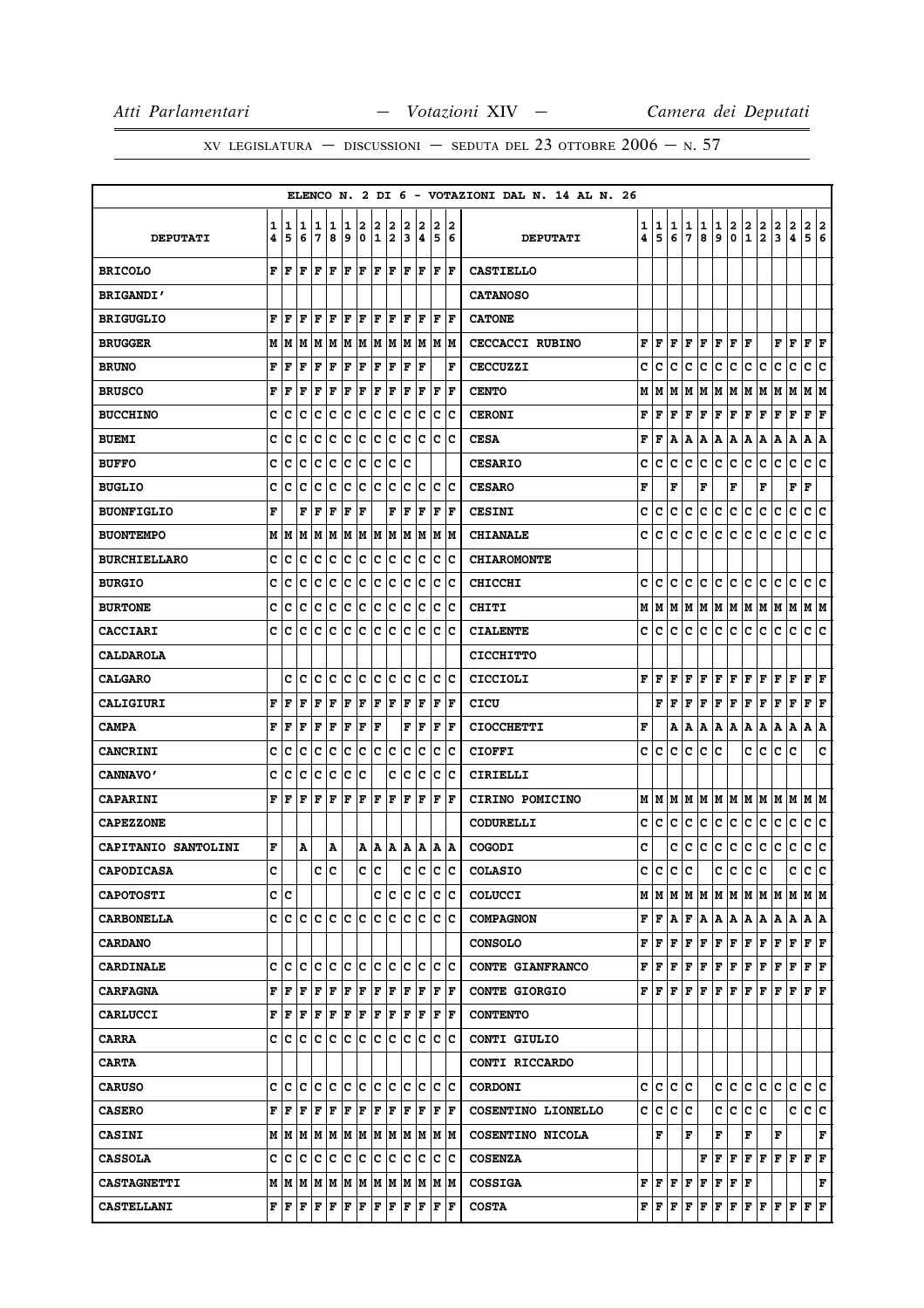|                     |        |        |        |        |             |        |        |                  |        |        |        |        |                      | ELENCO N. 2 DI 6 - VOTAZIONI DAL N. 14 AL N. 26 |        |        |        |        |                                           |        |                          |               |                                                                                                                                                                              |               |                        |                             |               |
|---------------------|--------|--------|--------|--------|-------------|--------|--------|------------------|--------|--------|--------|--------|----------------------|-------------------------------------------------|--------|--------|--------|--------|-------------------------------------------|--------|--------------------------|---------------|------------------------------------------------------------------------------------------------------------------------------------------------------------------------------|---------------|------------------------|-----------------------------|---------------|
| <b>DEPUTATI</b>     | 1<br>4 | 1<br>5 | 1<br>6 | 1<br>7 | 1<br>8      | 1<br>9 | 2<br>0 | 2<br>$\mathbf 1$ | 2<br>2 | 2<br>3 | 2<br>4 | 2<br>5 | 2<br>6               | <b>DEPUTATI</b>                                 | 1<br>4 | 1<br>5 | 1<br>6 | 1<br>7 | 1<br>8                                    | 1<br>9 | 2<br>0                   | $\frac{2}{1}$ | $\frac{2}{2}$                                                                                                                                                                | $\frac{2}{3}$ | $\frac{2}{4}$          | $\frac{2}{5}$               | $\frac{2}{6}$ |
| <b>BRICOLO</b>      | F      | F      | F      | F      | F           | F      | F      | F                | F      | F      | F      | F      | F                    | <b>CASTIELLO</b>                                |        |        |        |        |                                           |        |                          |               |                                                                                                                                                                              |               |                        |                             |               |
| <b>BRIGANDI'</b>    |        |        |        |        |             |        |        |                  |        |        |        |        |                      | <b>CATANOSO</b>                                 |        |        |        |        |                                           |        |                          |               |                                                                                                                                                                              |               |                        |                             |               |
| <b>BRIGUGLIO</b>    | F      | F      | F      | F      | l F         | l F    | l F    | F                | F      | F      | F      | F      | F                    | <b>CATONE</b>                                   |        |        |        |        |                                           |        |                          |               |                                                                                                                                                                              |               |                        |                             |               |
| <b>BRUGGER</b>      | М      | M      | M      | M      | M           | M      | M      | M M              |        |        | M M    | M  M   |                      | <b>CECCACCI RUBINO</b>                          | F      | F      | lF.    |        | F F                                       |        | F F F                    |               |                                                                                                                                                                              | FF            |                        | F F                         |               |
| <b>BRUNO</b>        | F      | F      | F      | F      | F           | F      | F      | F                | F      | F      | ΙF     |        | F                    | <b>CECCUZZI</b>                                 | c      | с      | c      | c      | с                                         | c      | c                        | с             | с                                                                                                                                                                            | с             | с                      | c                           | c             |
| <b>BRUSCO</b>       | F      | F      | F      | F      | F           | F      | F      | F                | F      | F      | F      | F      | F                    | <b>CENTO</b>                                    | М      | M      | M      | M      | M                                         | M      |                          |               | M  M  M  M  M                                                                                                                                                                |               |                        | M M                         |               |
| <b>BUCCHINO</b>     | c      | с      | c      | c      | c           | c      | c      | с                | с      | с      | c      | c      | Ιc                   | <b>CERONI</b>                                   | F      | F      | F      | F      | F                                         | F      | F                        | F             | F                                                                                                                                                                            | F             | F                      | F                           | F             |
| <b>BUEMI</b>        | c      | c      | c      | c      | c           | c      | c      | c                | c      | c      | Iс     | c      | Ιc                   | <b>CESA</b>                                     | F      | F      | A      | А      | A                                         |        |                          |               | A A A A A                                                                                                                                                                    |               | Α                      | A  A                        |               |
| <b>BUFFO</b>        | c      | c      | c      | c      | c           | c      | c      | c                | c      | c      |        |        |                      | <b>CESARIO</b>                                  | c      | с      | c      | c      | c                                         | c      | lc.                      | c             | lc.                                                                                                                                                                          | c             | c                      | c c                         |               |
| <b>BUGLIO</b>       | c      | с      | c      | c      | c           | c      | c      | c                | с      | c      | Ιc     | c      | ١c                   | <b>CESARO</b>                                   | F      |        | F      |        | F                                         |        | F                        |               | F                                                                                                                                                                            |               | ${\bf F} \mid {\bf F}$ |                             |               |
| <b>BUONFIGLIO</b>   | F      |        | F      | F      | F           | F      | F      |                  | F      | l F    | F      | F      | lF.                  | <b>CESINI</b>                                   | c      | с      | с      | с      | c                                         | с      | lc.                      | с             | c.                                                                                                                                                                           | c             | c                      | c c                         |               |
| <b>BUONTEMPO</b>    | М      | M      | M      | M      | M           | M      | M      | M                | M      | М      | M      | M      | lМ                   | <b>CHIANALE</b>                                 | c      | с      | c      | c      | c                                         | c      | c                        | с             | c                                                                                                                                                                            | с             | c                      | c                           | c             |
| <b>BURCHIELLARO</b> | c      | c      | c      | с      | c           | IC.    | c      | c                | c      | c      | Iс     | c      | Ιc                   | <b>CHIAROMONTE</b>                              |        |        |        |        |                                           |        |                          |               |                                                                                                                                                                              |               |                        |                             |               |
| <b>BURGIO</b>       | c      | с      | с      | c      | c           | c      | c      | с                | с      | c      | c      | c      | c                    | <b>CHICCHI</b>                                  | с      | с      | с      | с      | с                                         | с      | c                        | с             | с                                                                                                                                                                            | c             | с                      | c                           | Iс            |
| <b>BURTONE</b>      | c      | c      | c      | c      | c           | c      | c      | c                | c      | c      | c      | c      | Ιc                   | <b>CHITI</b>                                    | М      | M      |        |        |                                           |        |                          |               | M  M  M  M  M  M  M  M  M  M  M                                                                                                                                              |               |                        |                             |               |
| <b>CACCIARI</b>     | C      | c      | C      | c      | c           | c      | ∣c     | c                | c      | lc     | Ιc     | c      | Ιc                   | <b>CIALENTE</b>                                 | c      | c      | c      | c      | c                                         |        | c c                      | c.            | lc.                                                                                                                                                                          | c             | lc.                    | c c                         |               |
| <b>CALDAROLA</b>    |        |        |        |        |             |        |        |                  |        |        |        |        |                      | <b>CICCHITTO</b>                                |        |        |        |        |                                           |        |                          |               |                                                                                                                                                                              |               |                        |                             |               |
| <b>CALGARO</b>      |        | c      | Ιc     | Iс     | Iс          | lc.    | lc.    | lc.              | Iс     | lc.    | Iс     | lc.    | Iс                   | CICCIOLI                                        | F      | F      | F      | F      | F                                         |        | F F                      |               | F F F F                                                                                                                                                                      |               |                        | F F                         |               |
| <b>CALIGIURI</b>    | F      | F      | F      | F      | $\mathbf F$ | F      | F      | F                | F      | F      | F      | F      | ΙF                   | CICU                                            |        |        | FIF    | F      | F                                         |        | F F                      | F             | F                                                                                                                                                                            | F             | F                      | $\bf F \,   \bf F$          |               |
| <b>CAMPA</b>        | F      | F      | F      | F      | F           | F      | F      | F                |        | F      | F      | F      | F                    | <b>CIOCCHETTI</b>                               | F      |        | A      | Α      | Α                                         |        | A   A                    | Α             | Α                                                                                                                                                                            | Α             | Α                      | A   A                       |               |
| <b>CANCRINI</b>     | c      | c      | c      | c      | c           | c      | c      | c                | c      | c      | c      | c      | Ιc                   | <b>CIOFFI</b>                                   | с      | с      | c      | c      | с                                         | c      |                          | c             | с                                                                                                                                                                            | с             | c                      |                             | c             |
| <b>CANNAVO'</b>     | c      | c      | c      | c      | c           | c      | c      |                  | c      | c      | c      | c      | c                    | CIRIELLI                                        |        |        |        |        |                                           |        |                          |               |                                                                                                                                                                              |               |                        |                             |               |
| <b>CAPARINI</b>     | F      | F      | F      | F      | F           | F      | F      | F                | F      | F      | F      | F      | F                    | <b>CIRINO POMICINO</b>                          | М      | M      | lМ     | M      | M                                         |        |                          |               | M  M  M  M  M  M                                                                                                                                                             |               |                        | M M                         |               |
| <b>CAPEZZONE</b>    |        |        |        |        |             |        |        |                  |        |        |        |        |                      | <b>CODURELLI</b>                                | с      | c      | с      | с      | c                                         | c      | ∣c∙                      | c             | c                                                                                                                                                                            | c             | c                      | c c                         |               |
| CAPITANIO SANTOLINI | F      |        | Α      |        | Α           |        | Α      | A                | A      | Α      | A      |        | A  A                 | COGODI                                          | с      |        | с      | с      | c                                         | с      | c.                       | c             | c                                                                                                                                                                            | c             | c                      | c c                         |               |
| <b>CAPODICASA</b>   | C      |        |        | c      | lc          |        | c      | lc.              |        | c      | lc     | lc.    | lc.                  | <b>COLASIO</b>                                  |        | c  c   | c      | c      |                                           | c      | lc.                      | c             | lc.                                                                                                                                                                          |               | c                      | c c                         |               |
| <b>CAPOTOSTI</b>    | с      | Iс     |        |        |             |        |        | c                | Iс     | IС     | Iс     | c      | Ιc                   | <b>COLUCCI</b>                                  |        |        |        |        |                                           |        |                          |               |                                                                                                                                                                              |               |                        |                             |               |
| <b>CARBONELLA</b>   | C      | c      | lc.    | lc.    | Iс          | lc.    | ١c     | lc.              | c      | c      | Iс     | lc.    | lc                   | <b>COMPAGNON</b>                                |        | F F A  |        |        |                                           |        |                          |               | F   A   A   A   A   A   A   A   A                                                                                                                                            |               |                        |                             |               |
| <b>CARDANO</b>      |        |        |        |        |             |        |        |                  |        |        |        |        |                      | <b>CONSOLO</b>                                  |        |        |        |        |                                           |        |                          |               | ${\bf F} \,   \, {\bf F} \,   \, {\bf F} \,   \, {\bf F} \,   \, {\bf F} \,   \, {\bf F} \,   \, {\bf F} \,   \, {\bf F} \,   \, {\bf F} \,   \, {\bf F} \,   \, {\bf F} \,$ |               |                        | F F                         |               |
| <b>CARDINALE</b>    | c      | c      | lc.    | с      | c           | lc.    | lc.    | lc.              | lc     | c      | lc     | lc.    | ΙC                   | CONTE GIANFRANCO                                |        |        |        |        |                                           |        |                          |               | ${\bf F}\, \,{\bf F}\, \,{\bf F}\, \,{\bf F}\, \,{\bf F}\, \,{\bf F}\, \,{\bf F}\, \,{\bf F}\, \,{\bf F}\, \,{\bf F}\, \,{\bf F}\, \,{\bf F}\, \,$                           |               |                        | F F                         |               |
| <b>CARFAGNA</b>     | F      | F      | F      | F      | F           | F      | F      | F                | F      | F      | l F    | F      | ١F                   | <b>CONTE GIORGIO</b>                            |        | F F.   |        |        |                                           |        |                          |               |                                                                                                                                                                              |               |                        |                             |               |
| <b>CARLUCCI</b>     | F      | F      | F      | F F    |             | F F    |        | F F              |        | F F    |        |        | $ {\bf F}  {\bf F} $ | <b>CONTENTO</b>                                 |        |        |        |        |                                           |        |                          |               |                                                                                                                                                                              |               |                        |                             |               |
| <b>CARRA</b>        | c      | lc.    | C      | lc.    | Iс          | lc.    | lc.    | lc.              | lc.    | lc.    | lc     |        | lc Ic                | CONTI GIULIO                                    |        |        |        |        |                                           |        |                          |               |                                                                                                                                                                              |               |                        |                             |               |
| <b>CARTA</b>        |        |        |        |        |             |        |        |                  |        |        |        |        |                      | CONTI RICCARDO                                  |        |        |        |        |                                           |        |                          |               |                                                                                                                                                                              |               |                        |                             |               |
| <b>CARUSO</b>       | c      | c      | c      | c      | c           | lc.    | c      | c                | lc     | c      | lc     | lc.    | lc                   | <b>CORDONI</b>                                  | c      | c      | c      | c      |                                           | c      | c                        | c             | c                                                                                                                                                                            | с             | c                      | c c                         |               |
| <b>CASERO</b>       | F      | lF     | F      | F      | F           | F      | F      | F                | F      | ΙF     | ١F     |        | F  F                 | COSENTINO LIONELLO                              | c      | c c c  |        |        |                                           | c      | c.                       | c c           |                                                                                                                                                                              |               | c c c                  |                             |               |
| <b>CASINI</b>       |        |        |        |        |             |        |        |                  |        |        |        |        |                      | COSENTINO NICOLA                                |        | F      |        | F      |                                           | F      |                          | F             |                                                                                                                                                                              | F             |                        |                             | F             |
| <b>CASSOLA</b>      | c      | c      | c      | Iс     | Iс          | lc.    | lc.    | lc.              | Ιc     | Iс     | Ιc     | Iс     | Ιc                   | <b>COSENZA</b>                                  |        |        |        |        |                                           |        |                          |               | ${\bf F}$ $\bf [F]$ $\bf [F]$ $\bf [F]$ $\bf [F]$ $\bf [F]$                                                                                                                  |               |                        | FF                          |               |
| <b>CASTAGNETTI</b>  |        |        |        |        |             |        |        |                  |        |        |        |        |                      | <b>COSSIGA</b>                                  |        |        |        |        | ${\bf F}$ $\bf F$ $\bf F$ $\bf F$ $\bf F$ |        | F F F                    |               |                                                                                                                                                                              |               |                        |                             | F             |
| <b>CASTELLANI</b>   | F      | ΙF     | F      | F      | F           | F      | F      | F                | F      | F      | F      | F      | F                    | <b>COSTA</b>                                    |        | FF     | F      | F      | F                                         |        | $\mathbf{F} \mathbf{F} $ |               | $F$ $F$ $F$                                                                                                                                                                  |               | F                      | ${\bf F} \parallel {\bf F}$ |               |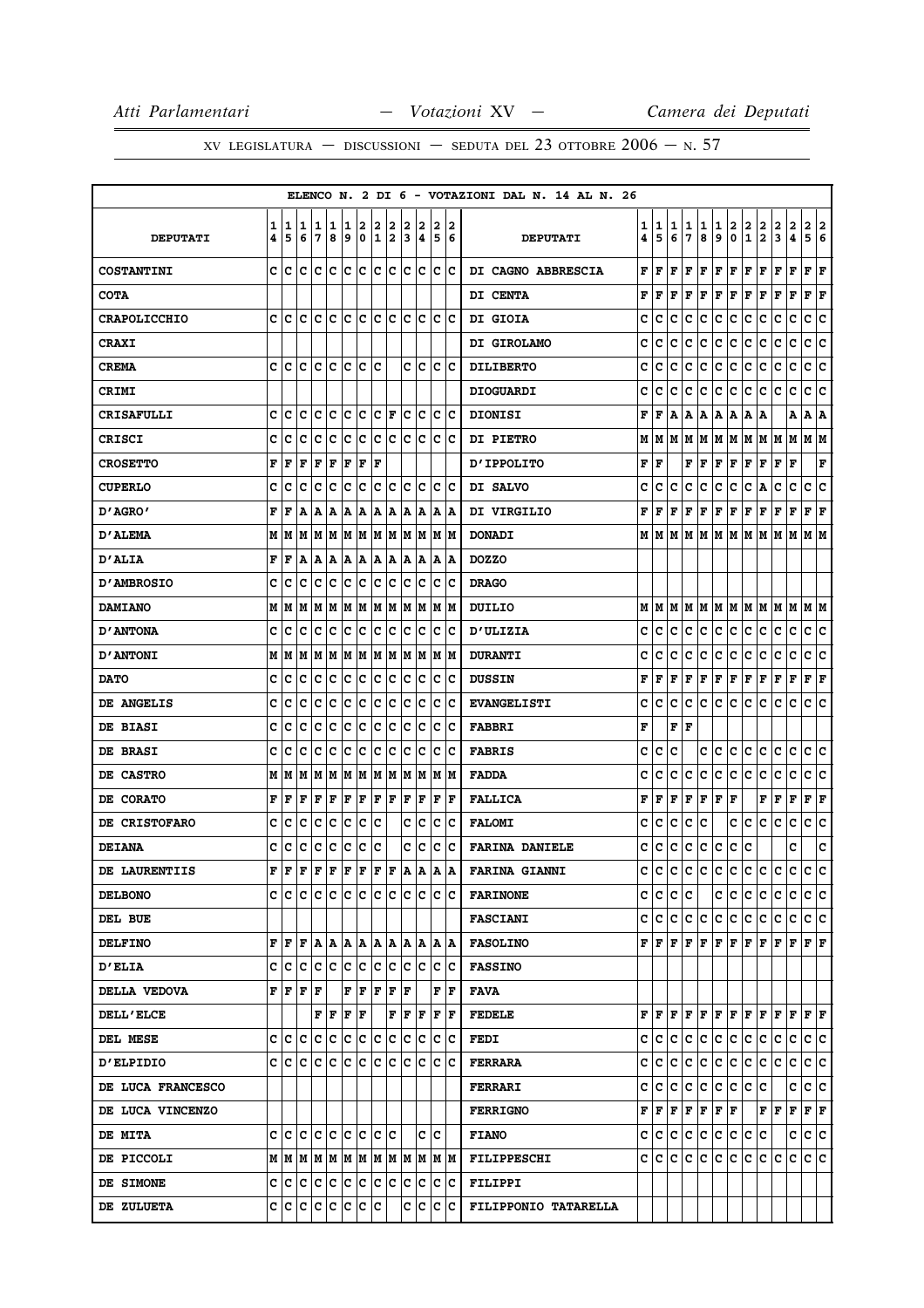|                     |        |           |        |                       |        |        |             |            |        |        |        |        |        | ELENCO N. 2 DI 6 - VOTAZIONI DAL N. 14 AL N. 26 |        |                                                                                     |        |        |               |                           |             |                                       |               |                              |                |                                                                                                                                                                            |   |
|---------------------|--------|-----------|--------|-----------------------|--------|--------|-------------|------------|--------|--------|--------|--------|--------|-------------------------------------------------|--------|-------------------------------------------------------------------------------------|--------|--------|---------------|---------------------------|-------------|---------------------------------------|---------------|------------------------------|----------------|----------------------------------------------------------------------------------------------------------------------------------------------------------------------------|---|
| <b>DEPUTATI</b>     | 1<br>4 | 1<br>5    | 1<br>6 | 1<br>7                | 1<br>8 | 1<br>و | 2<br>0      | 2<br>1     | 2<br>2 | 2<br>3 | 2<br>4 | 2<br>5 | 2<br>6 | <b>DEPUTATI</b>                                 | 1<br>4 | 1<br>5                                                                              | 1<br>6 | 1<br>7 | 1<br>8        | 1<br>9                    | 2<br>0      | $\begin{array}{c} 2 \\ 1 \end{array}$ | $\frac{2}{2}$ | 2<br>$\overline{\mathbf{3}}$ | 2<br>$\pmb{4}$ | $\overline{\mathbf{2}}$<br> 2<br>5<br>6                                                                                                                                    |   |
| <b>COSTANTINI</b>   | C      | lс        | c      | c                     | lc.    | lc.    | lc.         | lc.        | c      | lc.    | Ιc     |        | lc Ic  | DI CAGNO ABBRESCIA                              | F      | F                                                                                   | F      | F      | F             | F                         | F           | F                                     | F             | F                            | F              | F<br>F                                                                                                                                                                     |   |
| <b>COTA</b>         |        |           |        |                       |        |        |             |            |        |        |        |        |        | DI CENTA                                        | F      | F                                                                                   | F      | F      | F             | $ {\bf F}  {\bf F} $      |             | F F                                   |               | F F                          |                | $ {\bf F}  {\bf F} $                                                                                                                                                       |   |
| <b>CRAPOLICCHIO</b> | c      | Iс        | c      | c                     | Ιc     | c      | c           | c          | Iс     | c      | Iс     | c      | Ιc     | DI GIOIA                                        | c      | с                                                                                   | c      | c      | с             | с                         | с           | c                                     | с             | с                            | с              | c<br>c                                                                                                                                                                     |   |
| <b>CRAXI</b>        |        |           |        |                       |        |        |             |            |        |        |        |        |        | DI GIROLAMO                                     | c      | с                                                                                   | c      | c      | c             | с                         | c           | с                                     | c             | с                            | c              | c c                                                                                                                                                                        |   |
| <b>CREMA</b>        | c      | c         | c      | c                     | c      | c      | c           | c          |        | c      | Ιc     | c      | Ιc     | <b>DILIBERTO</b>                                | c      | с                                                                                   | с      | c      | с             | с                         | c           | c                                     | c             | с                            | с              | с<br>с                                                                                                                                                                     |   |
| CRIMI               |        |           |        |                       |        |        |             |            |        |        |        |        |        | <b>DIOGUARDI</b>                                | c      | c                                                                                   | c      | c      | c             | c                         | c.          | c                                     | c             | c                            | c              | c<br>١c                                                                                                                                                                    |   |
| <b>CRISAFULLI</b>   | C      | c         | C      | C                     | lc     | c      | ∣c          | c          | F      | lc     | Ιc     | c      | lc     | <b>DIONISI</b>                                  | F      | F                                                                                   | A      |        | A   A   A   A |                           |             | A   A                                 |               |                              | A              | A   A                                                                                                                                                                      |   |
| <b>CRISCI</b>       | C      | с         | c      | c                     | c      | c      | c           | c          | с      | c      | Iс     | Iс     | ΙC     | <b>DI PIETRO</b>                                | М      | M                                                                                   | lМ     | M      |               |                           |             |                                       |               |                              |                | M  M  M  M  M  M  M  M  M                                                                                                                                                  |   |
| <b>CROSETTO</b>     | F      | F         | F      | F                     | F      | F      | F           | F          |        |        |        |        |        | <b>D'IPPOLITO</b>                               | F      | ١F                                                                                  |        |        | FF            | $ {\bf F}  {\bf F} $      |             | F F                                   |               | F F                          |                | F                                                                                                                                                                          |   |
| <b>CUPERLO</b>      | c      | c         | c      | c                     | c      | c      | c           | c          | c      | c      | Ιc     | c      | ΙC     | DI SALVO                                        | c      | с                                                                                   | c      | c      | с             | с                         | c           | с                                     | Α             | c                            | с              | c<br>c                                                                                                                                                                     |   |
| D'AGRO'             | F      | F         | A      | Α                     | Α      | ١A     | Α           | А          | A      | Α      | A      | A      | ۱A     | DI VIRGILIO                                     | F      | F                                                                                   | F      | F      | F             | F                         | F           | F                                     | F             | F                            | F              | F F                                                                                                                                                                        |   |
| <b>D'ALEMA</b>      | M      | M         | М      | M                     | M      | lМ     | M           | M          | M      | M      | M      | M      | M      | <b>DONADI</b>                                   | М      | M                                                                                   | M      | М      | lм            |                           | MMMMM       |                                       |               | M                            | M              | M M                                                                                                                                                                        |   |
| <b>D'ALIA</b>       | F      | F         | A      | A                     | A      | A      | ۱A          | A   A      |        | A      | ١A     | A      | ١A     | <b>DOZZO</b>                                    |        |                                                                                     |        |        |               |                           |             |                                       |               |                              |                |                                                                                                                                                                            |   |
| <b>D'AMBROSIO</b>   | c      | c         | C      | c                     | c      | c      | c           | c          | с      | c      | Ιc     | c      | Ιc     | <b>DRAGO</b>                                    |        |                                                                                     |        |        |               |                           |             |                                       |               |                              |                |                                                                                                                                                                            |   |
| <b>DAMIANO</b>      | М      | M         | M      | M                     | M      | M      | M           | M          | M      | M      | M      | M      | lМ     | <b>DUILIO</b>                                   | М      |                                                                                     |        |        |               |                           |             |                                       |               |                              |                |                                                                                                                                                                            |   |
| <b>D'ANTONA</b>     | c      | c         | c      | Iс                    | c      | c      | c           | c          | c      | c      | Iс     | c      | Ιc     | <b>D'ULIZIA</b>                                 | с      | с                                                                                   | с      | с      | c             | c                         | c           | c                                     | c             | c                            | c              | c c                                                                                                                                                                        |   |
| <b>D'ANTONI</b>     | М      | M         | M      | M                     | M      | M      | M           | M          | M      | M      | M      | lм     | lМ     | <b>DURANTI</b>                                  | c      | c                                                                                   | c      | с      | с             | с                         | c           | c                                     | с             | c                            | с              | с<br>c                                                                                                                                                                     |   |
| <b>DATO</b>         | с      | c         | c      | c                     | c      | IC.    | ∣c          | с          | c      | c      | c      | c      | IС     | <b>DUSSIN</b>                                   | F      | F                                                                                   | F      | F      | г             | ${\bf F} \,   \, {\bf F}$ |             | F                                     | Г             | г                            | F              | ${\bf F} \,   \, {\bf F}$                                                                                                                                                  |   |
| DE ANGELIS          | c      | c         | c      | c                     | c      | c      | c           | c          | c      | c      | c      | c      | Iс     | <b>EVANGELISTI</b>                              | c      | c                                                                                   | c      | c      | lc.           | c                         | c           | c                                     | lc.           | c                            | c              | c<br>∣c                                                                                                                                                                    |   |
| <b>DE BIASI</b>     | C      | c         | c      | c                     | lc     | c      | c           | c          | c      | c      | Ιc     | c      | Ιc     | <b>FABBRI</b>                                   | F      |                                                                                     |        | F F    |               |                           |             |                                       |               |                              |                |                                                                                                                                                                            |   |
| DE BRASI            | c      | c         | c      | c                     | c      | c      | c           | c          | с      | c      | Ιc     | c      | Ιc     | <b>FABRIS</b>                                   | c      | с                                                                                   | c      |        | c             | c                         | c           | c                                     | c             | с                            | c              | c<br>lc.                                                                                                                                                                   |   |
| DE CASTRO           | М      | M         | M      | M                     | M      | M      | M           | M          | M      | M      | M      | M      | IМ     | <b>FADDA</b>                                    | c      | c                                                                                   | c      | с      | c             | c                         | c           | c                                     | c             | c                            | c              | c<br>Iс                                                                                                                                                                    |   |
| DE CORATO           | F      | F         | F      | F                     | F      | F      | F           | F          | F      | F      | F      | F      | F      | <b>FALLICA</b>                                  | F      | F                                                                                   | F      | F      | F             | $ {\bf F} $ ${\bf F}$     |             |                                       | F             | F F                          |                | $ {\bf F}  {\bf F} $                                                                                                                                                       |   |
| DE CRISTOFARO       | c      | c         | c      | c                     | c      | c      | c           | c          |        | c      | lc.    | c      | Ιc     | <b>FALOMI</b>                                   | c      | с                                                                                   | с      | c      | c             |                           | с           | с                                     | c             | c                            | c              | c<br>١c                                                                                                                                                                    |   |
| <b>DEIANA</b>       | c      | c         | с      | c                     | c      | c      | c           | c          |        | c      | c      | c      | Ιc     | <b>FARINA DANIELE</b>                           | с      | с                                                                                   | c      | с      | c             | с                         | c.          | с                                     |               |                              | c              |                                                                                                                                                                            | c |
| DE LAURENTIIS       | F      | F         | F      | F                     | F      | F      | F           | F          | F      | A      | A      | A      | ١A     | <b>FARINA GIANNI</b>                            | с      | c                                                                                   | c      | c      | c             | c c                       |             | c.                                    | c             | c                            | c.             | c<br>١c                                                                                                                                                                    |   |
| <b>DELBONO</b>      |        | c Ic Ic   |        | lc lc.                |        |        | le le le le |            |        |        | c c    |        | c c    | <b>FARINONE</b>                                 |        | c c c c                                                                             |        |        |               |                           |             |                                       |               |                              |                | c c c c c c c c c                                                                                                                                                          |   |
| DEL BUE             |        |           |        |                       |        |        |             |            |        |        |        |        |        | <b>FASCIANI</b>                                 |        |                                                                                     |        |        |               |                           |             |                                       |               |                              |                | c c c c c c c c c c c c c c c c                                                                                                                                            |   |
| <b>DELFINO</b>      | F      | ١F        | l F    | A                     | lA.    | lA.    | ١A          | IA IA      |        | lA.    | ١A     |        | IA IA  | <b>FASOLINO</b>                                 |        |                                                                                     |        |        |               |                           |             |                                       |               |                              |                | ${\bf F}[{\bf F}[{\bf F}] {\bf F}[{\bf F}] {\bf F}[{\bf F}] {\bf F}[{\bf F}] {\bf F}[{\bf F}] {\bf F}]$                                                                    |   |
| <b>D'ELIA</b>       | c      | c c       |        | c c c c               |        |        |             | c c c c    |        |        |        |        | c c    | <b>FASSINO</b>                                  |        |                                                                                     |        |        |               |                           |             |                                       |               |                              |                |                                                                                                                                                                            |   |
| DELLA VEDOVA        | F      | F         | F      | F                     |        | F      | F           | F          | F      | ΙF     |        | F      | lF.    | FAVA                                            |        |                                                                                     |        |        |               |                           |             |                                       |               |                              |                |                                                                                                                                                                            |   |
| <b>DELL'ELCE</b>    |        |           |        | F F                   |        | F      | F           |            | F      | F      | F      |        | F  F   | <b>FEDELE</b>                                   |        |                                                                                     |        |        |               |                           |             |                                       |               |                              |                | ${\bf F}\, \,{\bf F}\, \,{\bf F}\, \,{\bf F}\, \,{\bf F}\, \,{\bf F}\, \,{\bf F}\, \,{\bf F}\, \,{\bf F}\, \,{\bf F}\, \,{\bf F}\, \,{\bf F}\, \,{\bf F}\, \,{\bf F}\, \,$ |   |
| DEL MESE            | c      | с         | lc.    | Iс                    | c      | c      | c           | c          | c      | c      | Iс     | c      | c      | <b>FEDI</b>                                     |        | c c                                                                                 | lc.    |        |               |                           | c c c c c c |                                       |               | c                            | lc.            | c c                                                                                                                                                                        |   |
| <b>D'ELPIDIO</b>    | c      | lc.       | lc     | c                     | lc.    | lc.    | lc.         | lc.        | lc.    | lc.    | lc     | lc.    | ١c     | <b>FERRARA</b>                                  |        | c c                                                                                 | lc.    | ∣c∶    |               |                           |             |                                       | c c c c c c   |                              | c              | c c                                                                                                                                                                        |   |
| DE LUCA FRANCESCO   |        |           |        |                       |        |        |             |            |        |        |        |        |        | <b>FERRARI</b>                                  | c      | c c                                                                                 |        | c c    |               |                           | c c c c     |                                       |               |                              | c              | c c                                                                                                                                                                        |   |
| DE LUCA VINCENZO    |        |           |        |                       |        |        |             |            |        |        |        |        |        | <b>FERRIGNO</b>                                 |        | ${\bf F}\, \,{\bf F}\, \,{\bf F}\, \,{\bf F}\, \,{\bf F}\, \,{\bf F}\, \,{\bf F}\,$ |        |        |               |                           |             |                                       | FF            |                              |                | F F F                                                                                                                                                                      |   |
| <b>DE MITA</b>      |        |           |        | c c c c c c c c c c c |        |        |             |            |        |        |        | c c    |        | <b>FIANO</b>                                    |        | c c c c c c c c c c                                                                 |        |        |               |                           |             |                                       |               |                              |                | c c c                                                                                                                                                                      |   |
| DE PICCOLI          |        | M   M   M |        | M  M  M  M            |        |        |             | M  M  M  M |        |        |        |        | M  M   | <b>FILIPPESCHI</b>                              |        | C C                                                                                 | c      | c      | c             | c                         | c           | c                                     | c             | c                            | c              | c c                                                                                                                                                                        |   |
| DE SIMONE           | c      | c c       |        | c c                   |        | c      | $ {\bf c} $ | c          | ∣c     | IС     | c      | IС     | ∣c     | <b>FILIPPI</b>                                  |        |                                                                                     |        |        |               |                           |             |                                       |               |                              |                |                                                                                                                                                                            |   |
| DE ZULUETA          | C      | ∣c        |        | c c c c               |        |        | c c         |            |        | c      |        | c c c  |        | FILIPPONIO TATARELLA                            |        |                                                                                     |        |        |               |                           |             |                                       |               |                              |                |                                                                                                                                                                            |   |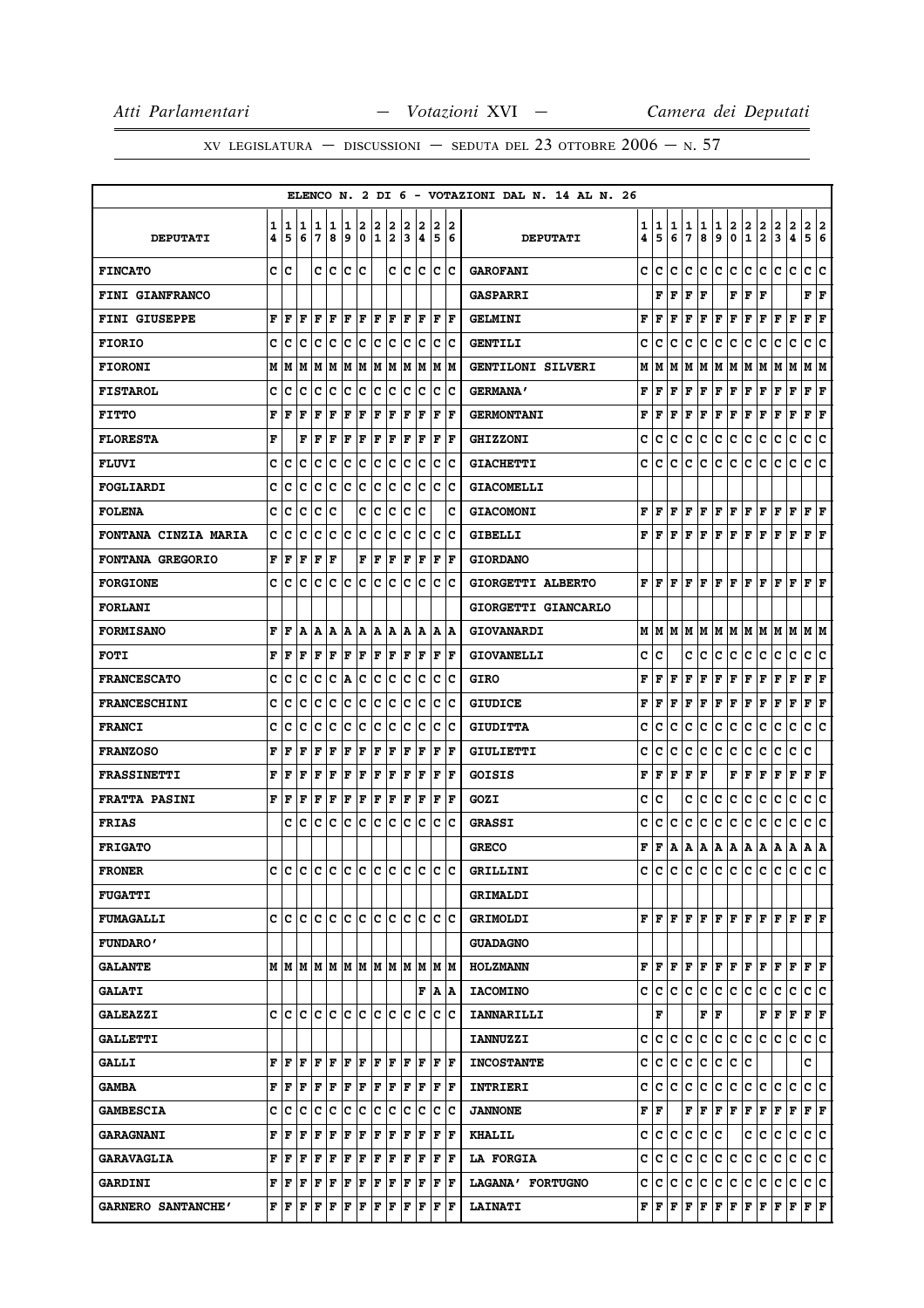|                             |        |        |        |        |        |        |         |        |        |        |                                                       |        |                      | ELENCO N. 2 DI 6 - VOTAZIONI DAL N. 14 AL N. 26 |        |        |        |        |        |        |        |               |               |        |                              |                             |        |
|-----------------------------|--------|--------|--------|--------|--------|--------|---------|--------|--------|--------|-------------------------------------------------------|--------|----------------------|-------------------------------------------------|--------|--------|--------|--------|--------|--------|--------|---------------|---------------|--------|------------------------------|-----------------------------|--------|
| <b>DEPUTATI</b>             | 1<br>4 | 1<br>5 | 1<br>6 | 1<br>7 | 1<br>8 | 1<br>9 | 2<br>0  | 2<br>1 | 2<br>2 | 2<br>3 | 2<br>4                                                | 2<br>5 | 2<br>16              | <b>DEPUTATI</b>                                 | 1<br>4 | 1<br>5 | 1<br>6 | 1<br>7 | 1<br>8 | 1<br>9 | 2<br>0 | $\frac{2}{1}$ | $\frac{2}{2}$ | 2<br>3 | $\overline{\mathbf{c}}$<br>4 | 2<br>5                      | 2<br>6 |
| <b>FINCATO</b>              | c      | c      |        | c      | c      | lc.    | c       |        | c      | lc.    | lc.                                                   |        | lc Ic                | <b>GAROFANI</b>                                 | c      | c      | c      | c      | c      | c      | c      | c             | c             | c      | c                            | c                           | c      |
| <b>FINI GIANFRANCO</b>      |        |        |        |        |        |        |         |        |        |        |                                                       |        |                      | <b>GASPARRI</b>                                 |        | F      | F      | F      | F      |        | F      | F             | F             |        |                              | F<br>F                      |        |
| FINI GIUSEPPE               | F      | F      | F      | F      | ΙF     | F      | ΙF      | l F    | ١F     | F      | ١F                                                    | F      | ١F                   | <b>GELMINI</b>                                  | F      | F      | F      | F      | F      | F      | F      | F             | F             | F      | F                            | F                           | F      |
| <b>FIORIO</b>               | c      | c      | c      | c      | с      | Iс     | c       | lC.    | Iс     | Iс     | Ιc                                                    |        | c c                  | <b>GENTILI</b>                                  | c      | с      | c      | c      | с      | с      | с      | c             | c             | с      | с                            | с                           | c      |
| <b>FIORONI</b>              | м      | M      | M      | M      |        |        |         |        |        |        | M  M  M  M  M  M  M  M  M                             |        |                      | GENTILONI SILVERI                               | М      | м      | М      | М      | М      | М      | M      | Μ             | M             | Μ      | м                            | м                           | IМ     |
| <b>FISTAROL</b>             | с      | c      | c      | c      | Iс     | lc.    | ∣c      | c c    |        |        | c c                                                   |        | c  c                 | <b>GERMANA'</b>                                 | F      | F      | F      | F      | F      | F      | F      | F             | F             | F      | F                            | F<br>F                      |        |
| <b>FITTO</b>                | F      | F      | F      | F      | F      | F      | F       | F      | F      | F      | F                                                     | ΙF     | lF                   | <b>GERMONTANI</b>                               | F      | F      | F      | F      | F      | F      | F      | F             | F             | F      | F                            | F                           | F      |
| <b>FLORESTA</b>             | F      |        | F      | F      | F      | F      | F       | F      | F      |        | $ {\bf F}  {\bf F} $                                  |        | $ {\bf F}  {\bf F} $ | <b>GHIZZONI</b>                                 | с      | c      | с      | c      | с      | с      | с      | с             | c             | c      | с                            | c                           | с      |
| <b>FLUVI</b>                | C      | c      | c      | c      | c      | c      | c       | c      | Ιc     | lc.    | Ιc                                                    | lc.    | Ιc                   | <b>GIACHETTI</b>                                | c      | c      | c      | c      | c      | c      | c      | с             | c             | c      | c                            | c                           | c      |
| FOGLIARDI                   | c      | c      | c      | c      | с      | c      | c       | c      | Ιc     | c      | Ιc                                                    | ΙC     | ΙC                   | <b>GIACOMELLI</b>                               |        |        |        |        |        |        |        |               |               |        |                              |                             |        |
| <b>FOLENA</b>               | с      | c      | c      | с      | c      |        | c       | c      | c      | c      | ١c                                                    |        | c                    | <b>GIACOMONI</b>                                | F      | F      | F      | F      | F      | F      | F      | F             | F             | F      | $\mathbf F$                  | ${\bf F} \,   \, {\bf F}$   |        |
| <b>FONTANA CINZIA MARIA</b> | с      | c      | c      | c      | с      | Ιc     | c       | c      | Ιc     | c      | lc                                                    | Ιc     | ١c                   | GIBELLI                                         | F      | F      | F      | F      | F      | F      | F      | F             | F             | F      | F                            | F                           | F      |
| <b>FONTANA GREGORIO</b>     |        | FF     | F      | F      | F      |        | F       | F      | F      | F      | ١F                                                    |        | $ {\bf F}  {\bf F} $ | <b>GIORDANO</b>                                 |        |        |        |        |        |        |        |               |               |        |                              |                             |        |
| <b>FORGIONE</b>             | c      | c      | c      | c      | с      | c      | c       | c      | с      | c      | Iс                                                    | Iс     | Ιc                   | GIORGETTI ALBERTO                               | F      | F      | F      | F      | F      | F      | F      | F             | F             | F      | F                            | F<br>F                      |        |
| <b>FORLANI</b>              |        |        |        |        |        |        |         |        |        |        |                                                       |        |                      | GIORGETTI GIANCARLO                             |        |        |        |        |        |        |        |               |               |        |                              |                             |        |
| <b>FORMISANO</b>            | F      | F      | A      | Α      | Α      | A      | A       | A   A  |        |        | IA IA                                                 |        | IA IA                | <b>GIOVANARDI</b>                               | М      | М      | М      | М      | М      | м      | M      | м             | M             | M      | M                            | MM                          |        |
| <b>FOTI</b>                 | F      | F      | F      | F      | F      | F      | F       | F      | F      | F      | F                                                     |        | $ {\bf F}  {\bf F} $ | <b>GIOVANELLI</b>                               | c      | c      |        | c      | c      | с      | c      | c             | c             | с      | c                            | c                           | c      |
| <b>FRANCESCATO</b>          | c      | c      | c      | c      | c      | A      | c       | c      | IС     | Iс     | Iс                                                    |        | c c                  | <b>GIRO</b>                                     | F      | F      | F      | F      | F      | F      | F      | F             | F             | F      | F                            | ${\bf F} \mid {\bf F}$      |        |
| <b>FRANCESCHINI</b>         | c      | c      | c      | c      | с      | Ιc     | c       | Ιc     | Iс     | Iс     | Ιc                                                    | ΙC     | ΙC                   | <b>GIUDICE</b>                                  | F      | F      | F      | F      | F      | F      | F      | F             | F             | F      | F                            | F                           | F      |
| <b>FRANCI</b>               | с      | c      | c      | c      | с      | c      | Iс      | c c    |        | Iс     | Iс                                                    |        | c  c                 | <b>GIUDITTA</b>                                 | c      | c      | c      | c      | с      | с      | с      | с             | c             | с      | с                            | с                           | ١c     |
| <b>FRANZOSO</b>             | F      | F      | F      | F      | F      | F      | F       | F      | F      | F      | lF                                                    | ΙF     | ١F                   | GIULIETTI                                       | c      | c      | c      | c      | с      | с      | с      | c             | c             | c      | с                            | c                           |        |
| <b>FRASSINETTI</b>          | F      | F      | F      | F      | F      | F      | F       | F      | F      | F      | F                                                     | ΙF     | ١F                   | <b>GOISIS</b>                                   | F      | F      | F      | F      | F      |        | F      | F             | F             | F      | F                            | ${\bf F} \mid {\bf F}$      |        |
| <b>FRATTA PASINI</b>        | F      | ١F     | F      | F      | F      | F      | F       | F      | F      | ΙF     | ١F                                                    | F      | ١F                   | GOZI                                            | c      | c      |        | C      | с      | с      | c      | c             | c             | с      | c                            | c                           | c      |
| <b>FRIAS</b>                |        | сI     | C      | c      | с      | Iс     | c       | lc.    | Iс     | Iс     | Iс                                                    | Iс     | Ιc                   | <b>GRASSI</b>                                   | c      | c      | c      | c      | c      | с      | c      | c             | c             | c      | с                            | с                           | c      |
| <b>FRIGATO</b>              |        |        |        |        |        |        |         |        |        |        |                                                       |        |                      | <b>GRECO</b>                                    | F      | F      | А      | A      | А      | Α      | А      | A             | A             | A      | A                            | A                           | A      |
| <b>FRONER</b>               |        | c Ic   | lc.    |        |        |        |         |        |        |        | c c c c c c c c c c c c                               |        |                      | GRILLINI                                        | c      | c      | c      | c      | с      | c      | c      | c             | c             | c      | c                            | c                           | lc.    |
| <b>FUGATTI</b>              |        |        |        |        |        |        |         |        |        |        |                                                       |        |                      | GRIMALDI                                        |        |        |        |        |        |        |        |               |               |        |                              |                             |        |
| <b>FUMAGALLI</b>            | c      | c      | C      | C      | lc.    | c c    |         | c c    |        |        | lc lc                                                 |        | lc Ic                | <b>GRIMOLDI</b>                                 |        | FIF    | F      | F      | F      | F      | F F    |               | F F           |        | F                            | $\bf{F}$ $\bf{F}$           |        |
| <b>FUNDARO'</b>             |        |        |        |        |        |        |         |        |        |        |                                                       |        |                      | <b>GUADAGNO</b>                                 |        |        |        |        |        |        |        |               |               |        |                              |                             |        |
| <b>GALANTE</b>              |        |        |        |        |        |        |         |        |        |        |                                                       |        |                      | <b>HOLZMANN</b>                                 | F      | F      | F      | F      | F      | F      | F      | F             | F             | F      | F                            | FF                          |        |
| <b>GALATI</b>               |        |        |        |        |        |        |         |        |        |        |                                                       |        | F A A                | <b>IACOMINO</b>                                 | c      | c      | c      | c      | с      | c      | c      | c             | c             | c      | c                            | c c                         |        |
| <b>GALEAZZI</b>             |        | c Ic   |        |        |        |        |         |        |        |        | c  c  c  c  c  c  c  c  c  c  c  c                    |        |                      | <b>IANNARILLI</b>                               |        | F      |        |        | F      | F      |        |               | F             | F      | $\mathbf F$                  | ${\bf F} \parallel {\bf F}$ |        |
| <b>GALLETTI</b>             |        |        |        |        |        |        |         |        |        |        |                                                       |        |                      | <b>IANNUZZI</b>                                 | c      | c      | с      | c      | с      | c      | c      | c             | c             | c      | c                            | c c                         |        |
| <b>GALLI</b>                | F      | F      | F      |        |        |        |         |        |        |        | F   F   F   F   F   F   F   F   F                     |        |                      | <b>INCOSTANTE</b>                               | c      | c      | с      | с      | c      | с      | с      | c             |               |        |                              | c                           |        |
| <b>GAMBA</b>                | F      | F      | F      | F      | F      | F      | F       | F F    |        |        | $ {\bf F} $ ${\bf F}$                                 |        | F  F                 | INTRIERI                                        | C      | c      | c      | c      | c      | c      | c      | c             | c             | c      | c                            | c c                         |        |
| <b>GAMBESCIA</b>            | c      | c      | c      | c      | c      | c c    |         | c c    |        |        | c c                                                   |        | $ {\bf c}\> {\bf c}$ | <b>JANNONE</b>                                  | F      | l F    |        | F      | F      | F      | F      | F             | F             | F      | $\mathbf F$                  | $ {\bf F} $ ${\bf F}$       |        |
| <b>GARAGNANI</b>            | F      | F      | F      | F      | F      | F      | F       | F      | F      | F      | F                                                     |        | $ {\bf F}  {\bf F} $ | <b>KHALIL</b>                                   | c      | с      | c      | c      | с      | с      |        | c             | с             | с      | c                            | c c                         |        |
| <b>GARAVAGLIA</b>           | F      | F      | F      | F      | F      | F      | F       | F F    |        |        | F F                                                   |        | $ {\bf F}  {\bf F} $ | <b>LA FORGIA</b>                                | c      | c      | c      | c      | c      | c      | c      | c             | c             | c      | c                            | c                           | Iс     |
| <b>GARDINI</b>              | F      | F      | F      | F      | F      |        | F F F F |        |        |        | F F                                                   |        | F F                  | LAGANA' FORTUGNO                                | c      | с      | с      | с      | с      | с      | c      | c             | с             | с      | c                            | c c                         |        |
| GARNERO SANTANCHE'          |        | FF     | F      | F      | F      | F      | F       |        |        |        | $\bf{F}$ $\bf{F}$ $\bf{F}$ $\bf{F}$ $\bf{F}$ $\bf{F}$ |        |                      | <b>LAINATI</b>                                  | F      | F      | F      | F      | F      | F      | F      |               | F F           | F      | F                            | ${\bf F} \parallel {\bf F}$ |        |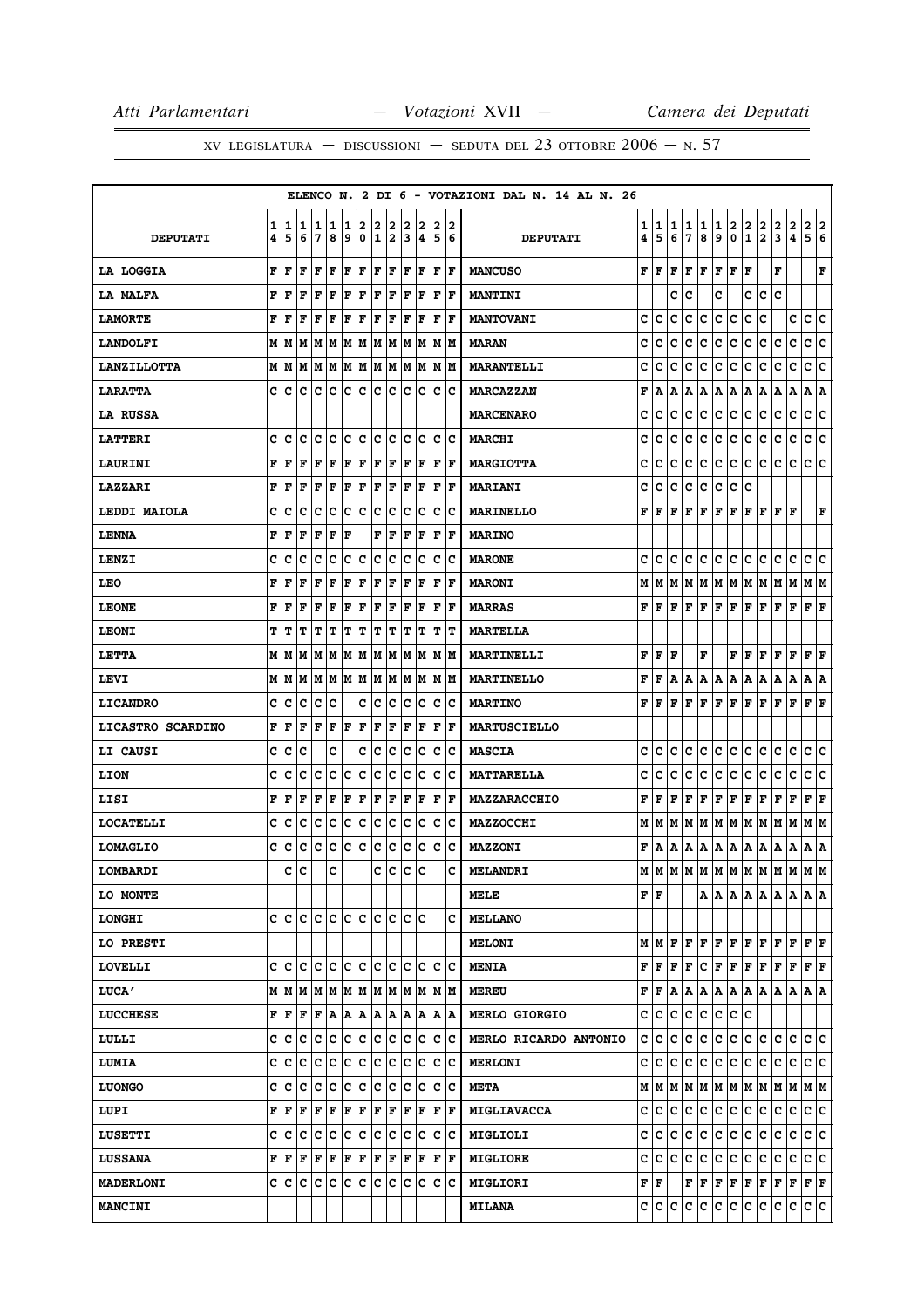|                    |        |        |              |                           |        |           |         |        |                     |        |                                                                                                                                     |        |                      | ELENCO N. 2 DI 6 - VOTAZIONI DAL N. 14 AL N. 26 |        |        |        |         |         |        |                                                                                                 |                      |                                                                                                                                                   |        |                              |                      |             |
|--------------------|--------|--------|--------------|---------------------------|--------|-----------|---------|--------|---------------------|--------|-------------------------------------------------------------------------------------------------------------------------------------|--------|----------------------|-------------------------------------------------|--------|--------|--------|---------|---------|--------|-------------------------------------------------------------------------------------------------|----------------------|---------------------------------------------------------------------------------------------------------------------------------------------------|--------|------------------------------|----------------------|-------------|
| <b>DEPUTATI</b>    | 1<br>4 | 1<br>5 | 1<br>6       | 1<br>7                    | 1<br>8 | 11<br>و ا | 2<br>0  | 2<br>1 | 2<br>2              | 2<br>3 | 2<br> 4                                                                                                                             | 2<br>5 | 12<br>  6            | <b>DEPUTATI</b>                                 | 1<br>4 | 1<br>5 | 1<br>6 | 1<br>17 | 1<br>8  | 1<br>9 | 2<br>0 I                                                                                        | $\overline{2}$<br>12 | 2                                                                                                                                                 | 2<br>3 | 2<br>$\overline{\mathbf{4}}$ | 2 2<br>5             | 6           |
| <b>LA LOGGIA</b>   | F      | ١F     | F            | ١F                        | ١F     | lF.       | ΙF      | F F    |                     |        | F F                                                                                                                                 |        | $ {\bf F}  {\bf F} $ | <b>MANCUSO</b>                                  |        |        |        |         |         |        | ${\bf F}\, \,{\bf F}\, \,{\bf F}\, \,{\bf F}\, \,{\bf F}\, \,{\bf F}\, \,{\bf F}\, \,{\bf F}\,$ |                      |                                                                                                                                                   | F      |                              |                      | F           |
| LA MALFA           | F      | F      | F            | F                         | F      | F         | F       | F      | F                   | F      | F                                                                                                                                   | F      | ΙF                   | <b>MANTINI</b>                                  |        |        | c      | Ιc      |         | c      |                                                                                                 | c                    | lc.                                                                                                                                               | Iс     |                              |                      |             |
| <b>LAMORTE</b>     | F      | l F    | l F          | lF                        | ΙF     | l F       | F       | F      | F                   | F      | F                                                                                                                                   | F      | lF                   | <b>MANTOVANI</b>                                | c      | c      | c      | c       | ١c      | lc.    | Ιc                                                                                              | c                    | c                                                                                                                                                 |        | c                            | c                    | c           |
| <b>LANDOLFI</b>    |        | M   M  |              |                           |        |           |         |        |                     |        | M  M  M  M  M  M  M  M  M  M  M                                                                                                     |        |                      | <b>MARAN</b>                                    | c      | с      | с      | Iс      | с       | ∣c.    | c                                                                                               | c                    | lc.                                                                                                                                               | c      | c                            | c c                  |             |
| <b>LANZILLOTTA</b> |        | M   M  |              |                           |        |           |         |        |                     |        | M  M  M  M  M  M  M  M  M  M  M                                                                                                     |        |                      | <b>MARANTELLI</b>                               | c      | с      | c      | с       | lc.     | c      | IС                                                                                              | c                    | c                                                                                                                                                 | с      | c                            | с                    | c           |
| <b>LARATTA</b>     |        | c  c   | lC.          | c c                       |        | lc.       | С       |        | c c                 | Iс     | Iс                                                                                                                                  | IC.    | ΙC                   | <b>MARCAZZAN</b>                                | F      |        |        |         |         |        | A   A   A   A   A   A   A   A                                                                   |                      |                                                                                                                                                   | A      | A                            | A  A                 |             |
| <b>LA RUSSA</b>    |        |        |              |                           |        |           |         |        |                     |        |                                                                                                                                     |        |                      | <b>MARCENARO</b>                                | c      | c      | c      | c       | c       | lc.    | c                                                                                               | c                    | c                                                                                                                                                 | c      | c                            | c                    | c           |
| <b>LATTERI</b>     |        | c Ic   | C            | c c                       |        | c c       |         |        | c c                 |        | lc Ic                                                                                                                               |        | c c                  | <b>MARCHI</b>                                   | c      | c      | c      | c       | lc.     | ∣c     | c                                                                                               | c                    | lc.                                                                                                                                               | c      | $\mathbf{C}$                 | c c                  |             |
| <b>LAURINI</b>     |        | FF     | F            | ١F                        | ΙF     | F         | ΙF      |        | F F                 |        | F F F F                                                                                                                             |        |                      | <b>MARGIOTTA</b>                                | c      | с      | с      | с       |         | c c c  |                                                                                                 | c c                  |                                                                                                                                                   | с      | lc.                          | c c                  |             |
| <b>LAZZARI</b>     | F      | F      | F            | F                         | ΙF     | F         | F       | F      | F                   | F      | F                                                                                                                                   | F      | lF                   | <b>MARIANI</b>                                  | c      | с      | c      | c       | c       | lc.    | IC.                                                                                             | c                    |                                                                                                                                                   |        |                              |                      |             |
| LEDDI MAIOLA       | c      | Ιc     | Iс           |                           | c c    |           | C C C C |        |                     |        | c c                                                                                                                                 |        | c  c                 | <b>MARINELLO</b>                                | F      | lF.    |        |         |         |        |                                                                                                 |                      | F   F   F   F   F   F   F   F                                                                                                                     |        |                              |                      | $\mathbf F$ |
| <b>LENNA</b>       | F      | F      | F            | F                         | F      | F         |         | F      | F                   | F      | F                                                                                                                                   | F      | lF                   | <b>MARINO</b>                                   |        |        |        |         |         |        |                                                                                                 |                      |                                                                                                                                                   |        |                              |                      |             |
| LENZI              | c      | c      | Iс           | Iс                        | Ιc     | c         | ∣c      | lc.    | Iс                  | c      | c                                                                                                                                   | c      | Ιc                   | <b>MARONE</b>                                   | c      | c      | IC.    | lC.     | IC.     | c c    |                                                                                                 | c c                  |                                                                                                                                                   | с      | c                            | c c                  |             |
| LEO                | F      | F      | F            | lF                        | ΙF     | F         | F       | F      | F                   | ΙF     | F                                                                                                                                   | F      | F                    | <b>MARONI</b>                                   | М      |        |        |         |         |        |                                                                                                 |                      | M  M  M  M  M  M  M  M  M  M                                                                                                                      |        |                              | M M                  |             |
| <b>LEONE</b>       | F      | F      | $\mathbf{F}$ | F                         | F      | F         | F       | F      | F                   | F      | F                                                                                                                                   | F      | lF                   | <b>MARRAS</b>                                   |        | FIF    |        |         |         |        | F   F   F   F   F   F                                                                           |                      |                                                                                                                                                   | F      | F                            | F                    | ΙF          |
| <b>LEONI</b>       | т      | т      | ΙT           | T                         | IΤ     | IΤ        | IΤ      | IΤ.    | ľΤ                  | IΤ     | IΤ                                                                                                                                  | IΤ     | IТ                   | <b>MARTELLA</b>                                 |        |        |        |         |         |        |                                                                                                 |                      |                                                                                                                                                   |        |                              |                      |             |
| <b>LETTA</b>       |        | MIM    |              |                           |        |           |         |        | M  M  M  M  M  M  M |        | IM IM                                                                                                                               |        | IM IM                | MARTINELLI                                      | F      | lF.    | l F    |         | F       |        | FIF                                                                                             |                      | lF.                                                                                                                                               | F      | l F                          | F                    | ΙF          |
| LEVI               |        |        |              |                           |        |           |         |        |                     |        |                                                                                                                                     |        |                      | <b>MARTINELLO</b>                               | F      | l F    |        |         |         |        |                                                                                                 |                      | A   A   A   A   A   A   A   A                                                                                                                     |        | A                            | A   A                |             |
| <b>LICANDRO</b>    | c      | c      | c            | Iс                        | Iс     |           | c       | Iс     | Iс                  | Iс     | IС                                                                                                                                  | Iс     | c                    | <b>MARTINO</b>                                  | F      | l F    | F      | F       | lF.     | F F    |                                                                                                 | IF.                  | lF.                                                                                                                                               | F      | l F                          | $ {\bf F}  {\bf F} $ |             |
| LICASTRO SCARDINO  | F      | l F    | F            | lF.                       | F      | F         | F       | F      | F                   | F      | F                                                                                                                                   | F      | F                    | <b>MARTUSCIELLO</b>                             |        |        |        |         |         |        |                                                                                                 |                      |                                                                                                                                                   |        |                              |                      |             |
| <b>LI CAUSI</b>    | c      | c      | lc           |                           | c      |           | c       | lc     | Ιc                  | lc     | Ιc                                                                                                                                  | lc.    | Ιc                   | <b>MASCIA</b>                                   | c      | с      | c      | c       | IC.     | IC.    | c                                                                                               | IC.                  | lc.                                                                                                                                               | с      | c                            | c                    | ١c          |
| <b>LION</b>        | c      | c      | c            | c                         | Ιc     | Iс        | ١c      | c      | Ιc                  | lc     | Iс                                                                                                                                  | Iс     | ΙC                   | <b>MATTARELLA</b>                               | c      | с      | c      | c       | lC.     | с      | c                                                                                               | c                    | IС                                                                                                                                                | c      | c                            | c                    | ١c          |
| LISI               | F      | F      | F            | F                         | F      | F         | F       | F      | F                   | F      | F                                                                                                                                   | F      | ΙF                   | MAZZARACCHIO                                    | F      | l F    | ١F     |         | F F F F |        |                                                                                                 | F F                  |                                                                                                                                                   | F      | F                            | $ {\bf F}  {\bf F} $ |             |
| <b>LOCATELLI</b>   | c      | c      | с            | Iс                        | c      | Ιc        | ∣c      | c      | Ιc                  | Ιc     | Ιc                                                                                                                                  | Iс     | ΙC                   | <b>MAZZOCCHI</b>                                |        |        |        |         |         |        |                                                                                                 |                      | M   M   M   M   M   M   M   M   M   M                                                                                                             |        |                              | M  M                 |             |
| <b>LOMAGLIO</b>    | c      | c      | c            | c c                       |        | lc.       | ∣c      |        | c c                 |        | c c c c                                                                                                                             |        |                      | <b>MAZZONI</b>                                  | F      |        |        |         |         |        |                                                                                                 |                      | A   A   A   A   A   A   A   A   A                                                                                                                 |        |                              | A  A                 |             |
| LOMBARDI           |        | c      | lc           |                           | c      |           |         | c      | c                   | ∣c     | lc                                                                                                                                  |        | c                    | <b>MELANDRI</b>                                 |        |        |        |         |         |        |                                                                                                 |                      | $M$   $M$   $M$   $M$   $M$   $M$   $M$   $M$   $M$   $M$                                                                                         |        |                              | M  M                 |             |
| LO MONTE           |        |        |              |                           |        |           |         |        |                     |        |                                                                                                                                     |        |                      | MELE                                            | F F    |        |        |         |         |        |                                                                                                 |                      | A   A   A   A   A   A   A   A                                                                                                                     |        |                              |                      |             |
| <b>LONGHI</b>      |        |        |              | e le le le le le le le le |        |           |         |        |                     |        | lc lc                                                                                                                               |        | c                    | <b>MELLANO</b>                                  |        |        |        |         |         |        |                                                                                                 |                      |                                                                                                                                                   |        |                              |                      |             |
| LO PRESTI          |        |        |              |                           |        |           |         |        |                     |        |                                                                                                                                     |        |                      | <b>MELONI</b>                                   |        |        |        |         |         |        | M   M   F   F   F   F   F   F   F                                                               |                      |                                                                                                                                                   | F      | F                            | $\bf{F}$ $\bf{F}$    |             |
| <b>LOVELLI</b>     |        |        |              |                           |        |           |         |        |                     |        |                                                                                                                                     |        |                      | <b>MENIA</b>                                    |        |        |        |         |         |        |                                                                                                 |                      | ${\bf F}[{\bf F}[{\bf F}] {\bf F}] {\bf C}[{\bf F}[{\bf F}] {\bf F}[{\bf F}] {\bf F}]$                                                            |        |                              | F F                  |             |
| <b>LUCA'</b>       |        |        |              |                           |        |           |         |        |                     |        | M   M   M   M   M   M   M   M   M   M                                                                                               |        | IM IM                | <b>MEREU</b>                                    |        |        |        |         |         |        |                                                                                                 |                      | $\mathbf{F}   \mathbf{F}   \mathbf{A}   \mathbf{A}   \mathbf{A}   \mathbf{A}   \mathbf{A}   \mathbf{A}   \mathbf{A}  $                            |        | A                            | A   A                |             |
| <b>LUCCHESE</b>    |        |        |              |                           |        |           |         |        |                     |        | $\mathbf{F}   \mathbf{F}   \mathbf{F}   \mathbf{F}   \mathbf{A}   \mathbf{A}   \mathbf{A}   \mathbf{A}   \mathbf{A}   \mathbf{A}  $ |        | A  A                 | <b>MERLO GIORGIO</b>                            | c      | C      | IC.    | ∣c∙     | ∣c.     |        | c c c                                                                                           |                      |                                                                                                                                                   |        |                              |                      |             |
| LULLI              | c      | с      | c            | Iс                        | c      | c         | ∣c      | c      | Iс                  | Ιc     | Ιc                                                                                                                                  | IС     | ∣c                   | MERLO RICARDO ANTONIO                           | c      | c      | с      | C.      | ∣c.     | c c    |                                                                                                 | c c                  |                                                                                                                                                   | с      | c                            | c c                  |             |
| <b>LUMIA</b>       |        | c c    | ∣c           | c c c c                   |        |           |         |        | c c                 |        | c c                                                                                                                                 |        | $ {\bf C} {\bf C}$   | <b>MERLONI</b>                                  | c      | C      |        |         |         |        | c c c c c c c c                                                                                 |                      |                                                                                                                                                   | c      | lc.                          | c c                  |             |
| <b>LUONGO</b>      |        | c  c   | lc.          | IC IC                     |        | c c       |         | C C    |                     | Ιc     | Iс                                                                                                                                  | ΙC     | ΙC                   | <b>META</b>                                     |        |        |        |         |         |        |                                                                                                 |                      |                                                                                                                                                   |        |                              |                      |             |
| LUPI               |        | FF     | F            | ١F                        | F      | F         | F       | F      | F                   | F      | F                                                                                                                                   | F      | ΙF                   | <b>MIGLIAVACCA</b>                              | c      | lc.    | lC.    | lc.     | IC.     |        | c c c c                                                                                         |                      |                                                                                                                                                   | с      | с                            | c c                  |             |
| <b>LUSETTI</b>     |        |        |              |                           |        |           |         |        |                     |        |                                                                                                                                     |        |                      | <b>MIGLIOLI</b>                                 | с      | c      | ∣c.    |         |         |        | $ {\mathbf{c}}\, {\mathbf{c}}\, {\mathbf{c}}\, {\mathbf{c}}\, {\mathbf{c}}\, $                  |                      |                                                                                                                                                   | c c    |                              | c c                  |             |
| <b>LUSSANA</b>     |        | FF     | F            | F F                       |        | F         | ΙF      |        | F F                 |        | F F                                                                                                                                 | F      | ΙF                   | <b>MIGLIORE</b>                                 | c      | lc.    | IC.    | lc.     | ∣c.     |        | c c c c                                                                                         |                      |                                                                                                                                                   | IС     | IC.                          | c c                  |             |
| <b>MADERLONI</b>   |        |        |              | c c c c c c c c c c       |        |           |         |        |                     |        | c c                                                                                                                                 |        | c c                  | <b>MIGLIORI</b>                                 |        | F   F  |        |         |         |        |                                                                                                 |                      | $\mathbf{F} \,   \, \mathbf{F} \,   \, \mathbf{F} \,   \, \mathbf{F} \,   \, \mathbf{F} \,   \, \mathbf{F} \,   \, \mathbf{F} \,   \, \mathbf{F}$ |        |                              | F F                  |             |
| <b>MANCINI</b>     |        |        |              |                           |        |           |         |        |                     |        |                                                                                                                                     |        |                      | <b>MILANA</b>                                   |        |        |        |         |         |        | C C C C C C C C C                                                                               |                      |                                                                                                                                                   | С      | IC.                          | C C                  |             |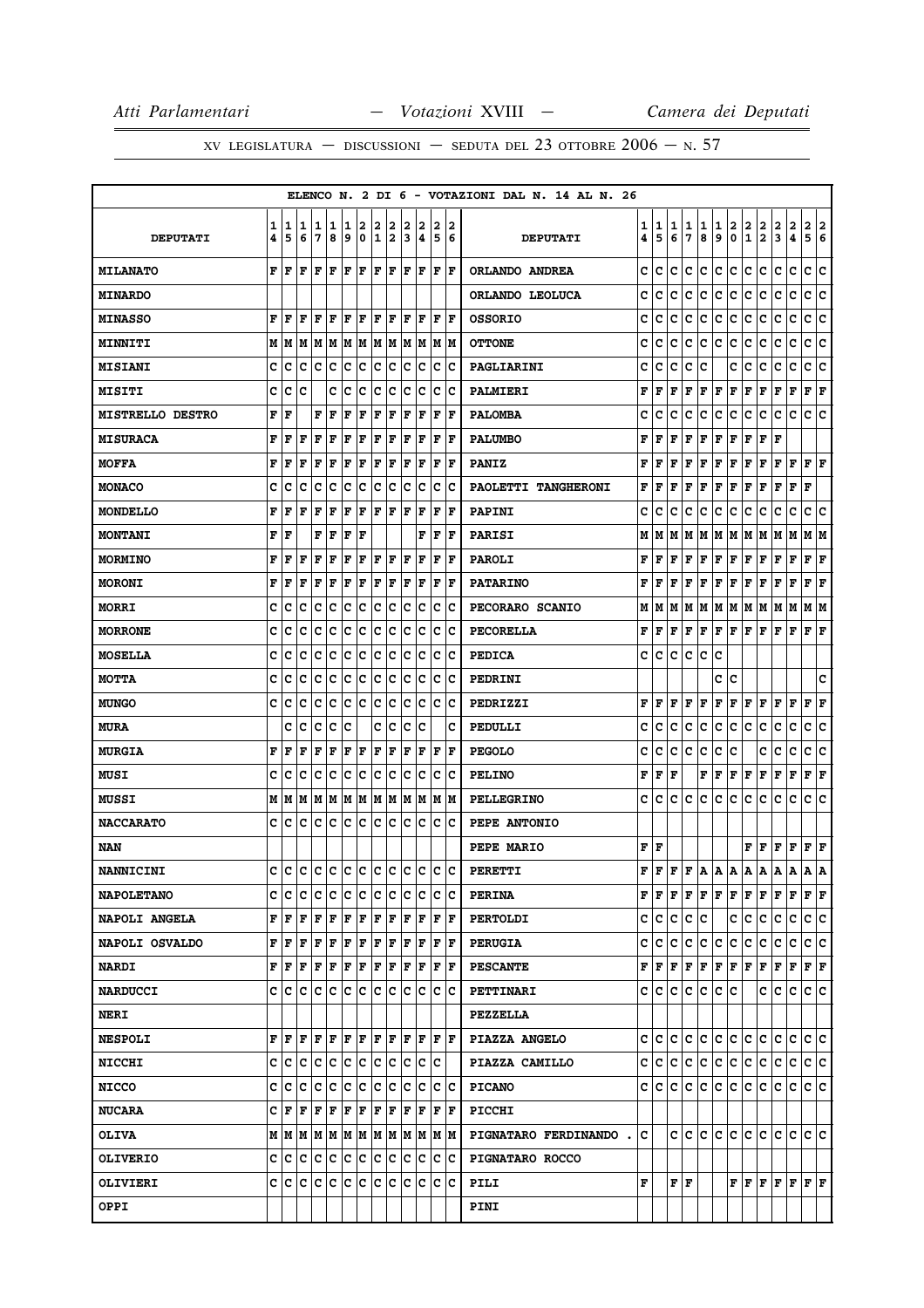|                         |        |                                       |        |        |        |        |        |        |                    |        |                                    |        |                       | ELENCO N. 2 DI 6 - VOTAZIONI DAL N. 14 AL N. 26 |        |        |        |        |        |        |        |                   |                                   |                           |                       |                                                   |
|-------------------------|--------|---------------------------------------|--------|--------|--------|--------|--------|--------|--------------------|--------|------------------------------------|--------|-----------------------|-------------------------------------------------|--------|--------|--------|--------|--------|--------|--------|-------------------|-----------------------------------|---------------------------|-----------------------|---------------------------------------------------|
| <b>DEPUTATI</b>         | 1<br>4 | 1<br>5                                | 1<br>6 | 1<br>7 | 1<br>8 | 1<br>9 | 2<br>0 | 2<br>1 | 2<br>2             | 2<br>3 | 2<br>4                             | 2<br>5 | 2<br>6                | <b>DEPUTATI</b>                                 | 1<br>4 | 1<br>5 | 1<br>6 | 1<br>7 | 1<br>8 | 1<br>9 | 2<br>0 | 2<br>$\mathbf{1}$ | 2<br>$\mathbf{2}$                 | 2<br>3                    | $\boldsymbol{2}$<br>4 | 2<br>2<br>5<br>6                                  |
| <b>MILANATO</b>         | F      | l F                                   | F      | F      | ΙF     | lF.    | lF.    |        | F  F               |        | F F                                |        | F  F                  | ORLANDO ANDREA                                  | c      | c      | c      | c      | c      | c      | c      | c                 | c                                 | c                         | $\mathbf{C}$          | c<br>c                                            |
| <b>MINARDO</b>          |        |                                       |        |        |        |        |        |        |                    |        |                                    |        |                       | ORLANDO LEOLUCA                                 | c      | C      | c      | c      | с      | с      | c      | c                 | c                                 | с                         | c                     | c<br>c                                            |
| <b>MINASSO</b>          | F      | F                                     | F      | F      | F      | IF     | F      | F      | F                  | ΙF     | ١F                                 | F      | ١F                    | <b>OSSORIO</b>                                  | c      | c      | c      | c      | c      | c      | c      | c                 | c                                 | c                         | c                     | с<br>c                                            |
| <b>MINNITI</b>          |        | M   M                                 |        |        |        |        |        |        |                    |        | M  M  M  M  M  M  M  M  M  M  M    |        |                       | <b>OTTONE</b>                                   | c      | c      | с      | c      | с      | с      | c      | с                 | с                                 | с                         | c                     | c<br>∣c                                           |
| <b>MISIANI</b>          | c      | c                                     | c      | c      | c      | Ιc     | c      |        | c c                | Iс     | Iс                                 | Iс     | ΙC                    | PAGLIARINI                                      | c      | c      | c      | c      | c      |        | c      | c                 | c                                 | с                         | с                     | с<br>c                                            |
| <b>MISITI</b>           | c      | c                                     | c      |        | c      | c      | c      | c      | Iс                 | c      | Iс                                 | Iс     | ΙC                    | PALMIERI                                        | F      | F      | F      | F      | F      | F      | F      | F                 | F                                 | F                         | F                     | F<br>F                                            |
| <b>MISTRELLO DESTRO</b> | F      | F                                     |        | F      | F      | F      | F      | F      | F                  | F      | F                                  | ΙF     | ١F                    | <b>PALOMBA</b>                                  | c      | c      | c      | c      | с      | c      | с      | с                 | c                                 | c                         | с                     | с<br>с                                            |
| <b>MISURACA</b>         | F      | F                                     | F      | F      | F      | F      | F      | F      | F                  | F      | F                                  | F      | ١F                    | <b>PALUMBO</b>                                  | F      | F      | F      | F      | F      | F      | F      | F                 | F                                 | F                         |                       |                                                   |
| <b>MOFFA</b>            | F      | F                                     | F      | F      | F      | F      | F      | F      | F                  | F      | F                                  | F      | lF                    | <b>PANIZ</b>                                    | F      | F      | F      | F      | F      | F      | F      | F                 | F                                 | F                         | F                     | ${\bf F} \mid {\bf F}$                            |
| <b>MONACO</b>           | c      | c                                     | c      | c      | c      | c      | c      | c      | Iс                 | c      | Iс                                 | Iс     | ١c                    | PAOLETTI TANGHERONI                             | F      | F      | F      | F      | F      | F      | F      | F                 | F                                 | F                         | F                     | F                                                 |
| MONDELLO                | F      | F                                     | F      | F      | F      | F      | F      | F      | F                  | F      | F                                  | F      | ١F                    | <b>PAPINI</b>                                   | c      | c      | c      | c      | c      | с      | с      | с                 | c                                 | с                         | с                     | с<br>c                                            |
| <b>MONTANI</b>          | F      | F                                     |        | F      | F      | F      | F      |        |                    |        | F                                  | ΙF     | lF                    | <b>PARISI</b>                                   | М      | М      | М      | М      | Μ      | М      | Μ      | Μ                 | М                                 | Μ                         | М                     | М<br>M                                            |
| <b>MORMINO</b>          | F      | F                                     | F      | F      | F      | F      | F      | F      | F                  | F      | F                                  | F      | ١F                    | <b>PAROLI</b>                                   | F      | F      | F      | F      | F      | F      | F      | F                 | F                                 | F                         | F                     | F<br>F                                            |
| <b>MORONI</b>           | F      | F                                     | F      | F      | F      | F      | F      | F      | F                  | F      | F                                  | F      | ١F                    | <b>PATARINO</b>                                 | F      | F      | F      | F      | F      | F      | F      | F                 | F                                 | F                         | F                     | F<br>F                                            |
| <b>MORRI</b>            | c      | c                                     | c      | c      | c      | Ιc     | ∣c     | c c    |                    |        | c c                                |        | c c                   | PECORARO SCANIO                                 | М      | М      | м      | М      | M      | М      | M      | М                 | M                                 | М                         | М                     | M   M                                             |
| <b>MORRONE</b>          | c      | c                                     | c      | c      | с      | c      | c      |        | $ {\bf C} {\bf C}$ | Iс     | Ιc                                 | ΙC     | ΙC                    | PECORELLA                                       | F      | F      | F      | F      | F      | F      | F      | F                 | F                                 | F                         | F                     | ${\bf F} \mid {\bf F}$                            |
| <b>MOSELLA</b>          | c      | c                                     | c      | c      | с      | c      | c      | lc.    | Ιc                 | c      | Ιc                                 | Iс     | Ιc                    | <b>PEDICA</b>                                   | c      | c      | c      | c      | с      | c      |        |                   |                                   |                           |                       |                                                   |
| <b>MOTTA</b>            | c      | c                                     | c      | c      | c      | c      | ∣c     |        | c c                | c      | c c c                              |        |                       | PEDRINI                                         |        |        |        |        |        | c      | c      |                   |                                   |                           |                       | c                                                 |
| <b>MUNGO</b>            | c      | c                                     | c      | c      | c      | c      | c      | c      | c                  | c      | Iс                                 | Iс     | ΙC                    | PEDRIZZI                                        | F      | F      | F      | F      | F      | F      | F      | F                 | F                                 | F                         | F                     | F<br>F                                            |
| <b>MURA</b>             |        | c                                     | c      | c      | c      | Ιc     |        | c      | ∣c                 | c      | Ιc                                 |        | c                     | PEDULLI                                         | c      | c      | с      | c      | с      | c      | с      | с                 | c                                 | с                         | с                     | с<br>c                                            |
| <b>MURGIA</b>           | F      | F                                     | F      | F      | F      | F      | F      | F      | F                  | ΙF     | lF                                 | F      | ١F                    | <b>PEGOLO</b>                                   | c      | c      | с      | c      | с      | с      | с      |                   | c                                 | с                         | с                     | c<br>c                                            |
| <b>MUSI</b>             | c      | c                                     | c      | c      | c      | lc.    | lc.    | c c    |                    |        | c c                                | ΙC     | ΙC                    | <b>PELINO</b>                                   | F      | F      | F      |        | F      | F      | F      | F                 | F                                 | F                         | F                     | F<br>F                                            |
| <b>MUSSI</b>            | м      | M                                     |        |        |        |        |        |        |                    |        | MIMIMIMIMIMIMIMIMIM                |        |                       | <b>PELLEGRINO</b>                               | c      | c      | c      | c      | с      | c      | с      | c                 | с                                 | c                         | с                     | c<br>Iс                                           |
| <b>NACCARATO</b>        | c      | c                                     | c      | c      | c      | Iс     | c      | lc.    | Iс                 | Iс     | lc.                                | Ιc     | ΙC                    | PEPE ANTONIO                                    |        |        |        |        |        |        |        |                   |                                   |                           |                       |                                                   |
| NAN                     |        |                                       |        |        |        |        |        |        |                    |        |                                    |        |                       | PEPE MARIO                                      | F      | F      |        |        |        |        |        | F                 | F                                 | F                         | F                     | F F                                               |
| <b>NANNICINI</b>        | c      | c                                     | c      | c      | lc.    |        | c c    |        | c c                | lc.    | lc                                 | Ιc     | Ιc                    | PERETTI                                         | F      | F      | F      | F      | A      | А      | А      | Α                 | А                                 | Α                         | Α                     | Α<br>А                                            |
| <b>NAPOLETANO</b>       | c      | c                                     | c      | c      | c      | IC.    | IC.    |        | c c                |        | c c                                |        | $ {\bf C} {\bf C}$    | <b>PERINA</b>                                   | F      | F      | F      | F      | F      |        | F F    |                   |                                   |                           |                       | F F F F F F                                       |
| <b>NAPOLI ANGELA</b>    |        | F F                                   | F      | lF.    | F      |        |        |        |                    |        | F F F F F F F F                    |        |                       | <b>PERTOLDI</b>                                 | c      | c      | c      | c      | c      |        | c      | c                 | c                                 | с                         | c                     | c c                                               |
| NAPOLI OSVALDO          |        | ${\bf F}$ $\bf   \bf F$ $\bf   \bf F$ |        | F      | ΙF     | F F    |        | F F    |                    |        | F F                                |        | $ {\bf F} $ ${\bf F}$ | <b>PERUGIA</b>                                  | c      | c      | c      | c      | c      | c      | c      | c                 | c                                 | c                         | c                     | c c                                               |
| <b>NARDI</b>            |        | FF                                    |        |        |        |        |        |        |                    |        | F F F F F F F F F F F F            |        |                       | <b>PESCANTE</b>                                 | F      | F      | F      | F      | Г      |        |        |                   | F F F F                           | $\mathbf{F}$ $\mathbf{F}$ |                       | F F                                               |
| <b>NARDUCCI</b>         |        | c Ic                                  |        |        |        |        |        |        |                    |        |                                    |        |                       | PETTINARI                                       | c      | с      | c      | c      | c      | c      | с      |                   | c                                 | c                         | c                     | c c                                               |
| <b>NERI</b>             |        |                                       |        |        |        |        |        |        |                    |        |                                    |        |                       | <b>PEZZELLA</b>                                 |        |        |        |        |        |        |        |                   |                                   |                           |                       |                                                   |
| <b>NESPOLI</b>          |        | F F                                   | F      |        | F F    |        |        |        |                    |        | F   F   F   F   F   F   F          |        |                       | PIAZZA ANGELO                                   | c      | c      | с      | c      | с      | с      | с      | с                 | c                                 | c                         | c                     | C C                                               |
| <b>NICCHI</b>           | C I    | c                                     | c      |        |        |        |        |        |                    |        | c  c  c  c  c  c  c  c  c          |        |                       | PIAZZA CAMILLO                                  | c      | lc.    | с      | c      | c      | c      | c      | c                 | c.                                | c                         | с                     | c c                                               |
| <b>NICCO</b>            | C.     | c                                     | c      |        |        |        |        |        |                    |        | c  c  c  c  c  c  c  c             |        | c c                   | <b>PICANO</b>                                   | c      | с      | c      | c      | c      | c      | c.     | c                 | c.                                | с                         | c                     | c c                                               |
| <b>NUCARA</b>           |        |                                       |        |        |        |        |        |        |                    |        |                                    |        |                       | PICCHI                                          |        |        |        |        |        |        |        |                   |                                   |                           |                       |                                                   |
| <b>OLIVA</b>            |        |                                       |        |        |        |        |        |        |                    |        |                                    |        |                       | PIGNATARO FERDINANDO.                           | c      |        |        |        |        |        |        |                   | c   c   c   c   c   c   c   c   c |                           |                       | lc Ic                                             |
| <b>OLIVERIO</b>         | c l    | C                                     |        |        |        |        |        |        |                    |        | c  c  c  c  c  c  c  c  c  c  c  c |        |                       | PIGNATARO ROCCO                                 |        |        |        |        |        |        |        |                   |                                   |                           |                       |                                                   |
| <b>OLIVIERI</b>         |        |                                       |        |        |        |        |        |        |                    |        |                                    |        |                       | PILI                                            | F      |        |        | F F    |        |        |        |                   |                                   |                           |                       | ${\bf F}$ $\bf [F]$ $\bf [F]$ $\bf [F]$ $\bf [F]$ |
| OPPI                    |        |                                       |        |        |        |        |        |        |                    |        |                                    |        |                       | PINI                                            |        |        |        |        |        |        |        |                   |                                   |                           |                       |                                                   |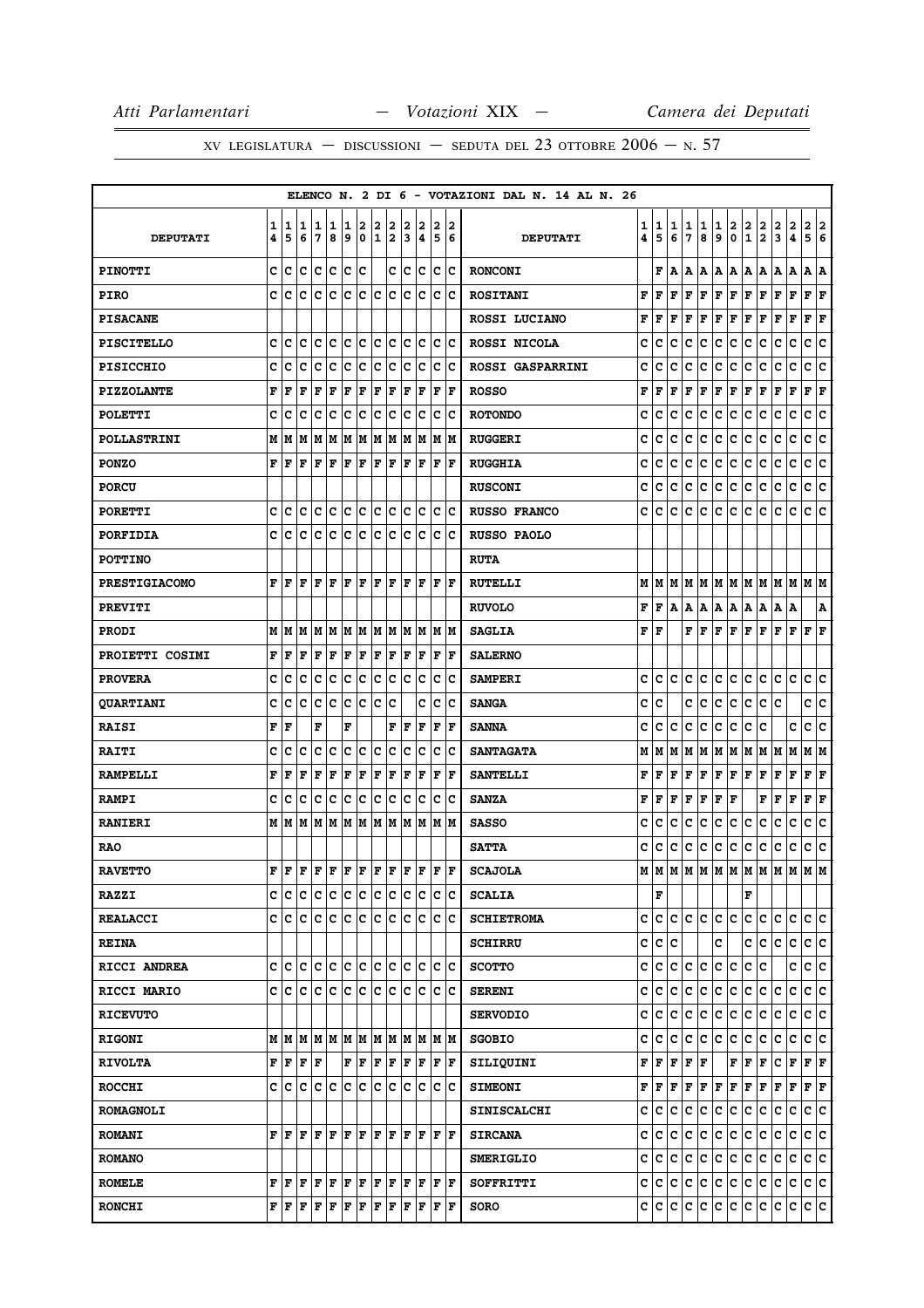|                      |        |                                                                                                                                                                                                                                                                                                                                                                                                                                                                                            |             |        |         |        |                      |        |                               |        |        |                                 |                        | ELENCO N. 2 DI 6 - VOTAZIONI DAL N. 14 AL N. 26 |                        |                                           |        |        |        |                       |        |               |                                                                             |        |                     |                           |     |
|----------------------|--------|--------------------------------------------------------------------------------------------------------------------------------------------------------------------------------------------------------------------------------------------------------------------------------------------------------------------------------------------------------------------------------------------------------------------------------------------------------------------------------------------|-------------|--------|---------|--------|----------------------|--------|-------------------------------|--------|--------|---------------------------------|------------------------|-------------------------------------------------|------------------------|-------------------------------------------|--------|--------|--------|-----------------------|--------|---------------|-----------------------------------------------------------------------------|--------|---------------------|---------------------------|-----|
| <b>DEPUTATI</b>      | 1<br>4 | 1<br>5                                                                                                                                                                                                                                                                                                                                                                                                                                                                                     | 11<br>6     | 1<br>7 | 11<br>8 | 1<br>9 | 2<br>$\mathbf 0$     | 2<br>1 | 2<br>2                        | 2<br>3 | 2<br>4 | 2<br>5                          | 12<br>6                | <b>DEPUTATI</b>                                 | 1<br>4                 | 1<br>5                                    | 1<br>6 | 1<br>7 | 1<br>8 | 1<br>9                | 2<br>0 | $\frac{2}{1}$ | $\frac{2}{2}$                                                               | 2<br>3 | $\overline{a}$<br>4 | 2 2<br>5 6                |     |
| <b>PINOTTI</b>       |        | c c                                                                                                                                                                                                                                                                                                                                                                                                                                                                                        | $ {\bf c} $ | c c    |         | c      | lc.                  |        | c                             | c      | c      |                                 | $ {\bf c}\, {\bf c}\>$ | <b>RONCONI</b>                                  |                        |                                           | F A    | A      | A      | A   A                 |        | A   A         |                                                                             | A   A  |                     | A  A                      |     |
| <b>PIRO</b>          | C      | c                                                                                                                                                                                                                                                                                                                                                                                                                                                                                          | ١c          | Ιc     | Ιc      | Ιc     | lc.                  | lc     | lc.                           | lc.    | Iс     | lc.                             | Iс                     | <b>ROSITANI</b>                                 | F                      | F                                         | F      | F      | F      | $\mathbf F$           | F      | F             | F                                                                           | F      | F                   | F F                       |     |
| <b>PISACANE</b>      |        |                                                                                                                                                                                                                                                                                                                                                                                                                                                                                            |             |        |         |        |                      |        |                               |        |        |                                 |                        | ROSSI LUCIANO                                   | F                      | F                                         | F      | F      | F      | $\mathbf F$           | F      | F             | F                                                                           | F      | $\mathbf F$         | F                         | F   |
| <b>PISCITELLO</b>    |        | c c                                                                                                                                                                                                                                                                                                                                                                                                                                                                                        | ∣c          | c c    |         |        |                      |        | c c c c                       |        | c c    |                                 | c c                    | ROSSI NICOLA                                    | c                      | c                                         | c      | c      | c      | c                     | c      | c             | c                                                                           | c      | c                   | c c                       |     |
| <b>PISICCHIO</b>     | C      | c                                                                                                                                                                                                                                                                                                                                                                                                                                                                                          | c           | с      | c       | Iс     | c                    | c      | c                             | c      | Ιc     | с                               | Ιc                     | <b>ROSSI GASPARRINI</b>                         | c                      | с                                         | c      | c      | с      | c                     | с      | с             | c                                                                           | с      | с                   | c                         | Iс  |
| <b>PIZZOLANTE</b>    | F      | l F                                                                                                                                                                                                                                                                                                                                                                                                                                                                                        | F           | F      | F       | F      | F                    | F      | F                             | F      | F      | $\mathbf F$                     | F                      | <b>ROSSO</b>                                    | F                      | l F                                       | F      | F      | F      | F                     | F      | F             | F                                                                           | F      | F                   | $ {\bf F}  {\bf F} $      |     |
| <b>POLETTI</b>       | c      | Iс                                                                                                                                                                                                                                                                                                                                                                                                                                                                                         | c           | Iс     | c       | c      | c                    | c      | c                             | c      | c      | $\mathbf C$                     | c                      | <b>ROTONDO</b>                                  | c                      | c                                         | c      | c      | с      | c                     | c      | с             | c                                                                           | c      | c                   | c                         | ∣c  |
| <b>POLLASTRINI</b>   |        | МM                                                                                                                                                                                                                                                                                                                                                                                                                                                                                         | M           |        | MM      |        | M M                  |        | M M                           |        | M M    |                                 | M  M                   | <b>RUGGERI</b>                                  | C                      | c                                         | c      | c      | c      | $\mathtt{C}$          | c      | c             | c                                                                           | c      | $\mathbf C$         | c                         | c   |
| <b>PONZO</b>         | F      | l F                                                                                                                                                                                                                                                                                                                                                                                                                                                                                        | F           | lF.    | F       | F      | F                    | F      | F                             | F      | lF.    | F                               | ١F                     | <b>RUGGHIA</b>                                  | c                      | c                                         | c      | c      | c      | c                     | c      | c             | c                                                                           | c      | c                   | c                         | ∣c  |
| <b>PORCU</b>         |        |                                                                                                                                                                                                                                                                                                                                                                                                                                                                                            |             |        |         |        |                      |        |                               |        |        |                                 |                        | <b>RUSCONI</b>                                  | c                      | c                                         | c      | c      | c      | $\mathbf{C}$          | c      | c             | c                                                                           | c      | c                   | c                         | c   |
| <b>PORETTI</b>       | c      | Iс                                                                                                                                                                                                                                                                                                                                                                                                                                                                                         | lc.         |        |         |        |                      |        | c c c c c c c                 |        | c c    |                                 | c c                    | <b>RUSSO FRANCO</b>                             | c                      | c                                         | c      | c      | c      | $\mathbf c$           | c      | c             | c                                                                           | c      | c                   | c c                       |     |
| <b>PORFIDIA</b>      | C      | C                                                                                                                                                                                                                                                                                                                                                                                                                                                                                          | c           | Iс     | Iс      | Iс     | Iс                   | Ιc     | Iс                            | Iс     | Ιc     | c                               | Ιc                     | RUSSO PAOLO                                     |                        |                                           |        |        |        |                       |        |               |                                                                             |        |                     |                           |     |
| <b>POTTINO</b>       |        |                                                                                                                                                                                                                                                                                                                                                                                                                                                                                            |             |        |         |        |                      |        |                               |        |        |                                 |                        | <b>RUTA</b>                                     |                        |                                           |        |        |        |                       |        |               |                                                                             |        |                     |                           |     |
| <b>PRESTIGIACOMO</b> | F      | l F                                                                                                                                                                                                                                                                                                                                                                                                                                                                                        | ΙF          | l F    | ΙF      | F      | lF.                  | F      | lF.                           | lF.    | lF.    | l F                             | ١F                     | <b>RUTELLI</b>                                  |                        |                                           |        |        |        |                       |        |               | $M$   $M$   $M$   $M$   $M$   $M$   $M$   $M$   $M$   $M$   $M$   $M$   $M$ |        |                     |                           |     |
| <b>PREVITI</b>       |        |                                                                                                                                                                                                                                                                                                                                                                                                                                                                                            |             |        |         |        |                      |        |                               |        |        |                                 |                        | <b>RUVOLO</b>                                   | F                      | F                                         | A      | Α      | A      | A                     | A      | A             | A                                                                           | Α      | A                   |                           | A   |
| <b>PRODI</b>         |        | M   M   M                                                                                                                                                                                                                                                                                                                                                                                                                                                                                  |             |        |         |        |                      |        | IM IM IM IM IM IM IM          |        |        |                                 | IM IM                  | <b>SAGLIA</b>                                   | ${\bf F} \mid {\bf F}$ |                                           |        |        | FF     | F                     | F      | F F           |                                                                             | F      | F                   | $ {\bf F}  {\bf F} $      |     |
| PROIETTI COSIMI      | F      | l F                                                                                                                                                                                                                                                                                                                                                                                                                                                                                        | F           | F      | F       | F      | F                    | F      | F                             | F      | F      | F                               | ١F                     | <b>SALERNO</b>                                  |                        |                                           |        |        |        |                       |        |               |                                                                             |        |                     |                           |     |
| <b>PROVERA</b>       | c      | lc                                                                                                                                                                                                                                                                                                                                                                                                                                                                                         | lc.         | c      | ∣c      | lc.    | c                    |        | c c                           | lc.    | Ιc     | c                               | Iс                     | <b>SAMPERI</b>                                  | c                      | c                                         | lc.    | c      | c      | $\mathbf c$           | c      | c.            | c                                                                           | lc.    | lc.                 | c c                       |     |
| <b>QUARTIANI</b>     | c      | c                                                                                                                                                                                                                                                                                                                                                                                                                                                                                          | c           | с      | c       | c      | c                    | Ιc     | с                             |        | c      | c                               | Ιc                     | <b>SANGA</b>                                    | c                      | C                                         |        | c      | с      | c                     | c      | c             | c                                                                           | c      |                     | c                         | c   |
| <b>RAISI</b>         | F      | l F                                                                                                                                                                                                                                                                                                                                                                                                                                                                                        |             | F      |         | F      |                      |        | F                             | F      | F      | $\mathbf F$                     | ١F                     | <b>SANNA</b>                                    | c                      | c                                         | c      | c      | c      | c                     | c      | c             | c                                                                           |        | c                   | c                         | lc. |
| <b>RAITI</b>         | C      | c                                                                                                                                                                                                                                                                                                                                                                                                                                                                                          | c           | c      | lc      | lc.    | c                    | lc     | c                             | C      | lc     | $\mathbf c$                     | lc                     | <b>SANTAGATA</b>                                | М                      | M                                         | M      | М      | M      | M                     | M      | M             | M                                                                           | M      | M                   | MM                        |     |
| <b>RAMPELLI</b>      | F      | F                                                                                                                                                                                                                                                                                                                                                                                                                                                                                          | F           | F      | F       | F      | F                    | F      | F                             | F      | F      | F                               | ١F                     | <b>SANTELLI</b>                                 | F                      | F                                         | F      | F      | F      | $\mathbf F$           | F      | F             | F                                                                           | F      | F                   | ${\bf F} \,   \, {\bf F}$ |     |
| <b>RAMPI</b>         | c      | C                                                                                                                                                                                                                                                                                                                                                                                                                                                                                          | Iс          | Ιc     | Ιc      | c      | c                    | c      | ∣c                            | lc.    | Iс     | Iс                              | Iс                     | <b>SANZA</b>                                    | F                      | F                                         | F      | F      | F      | F                     | F      |               | F                                                                           | F      | F                   | $ {\bf F}  {\bf F} $      |     |
| <b>RANIERI</b>       |        | мIм                                                                                                                                                                                                                                                                                                                                                                                                                                                                                        |             | M M    |         |        |                      |        | IM IM IM IM IM IM             |        |        | lм                              | lМ                     | <b>SASSO</b>                                    | c                      | c                                         | c      | c      | c      | c                     | c      | c             | c                                                                           | c      | c                   | c                         | c   |
| <b>RAO</b>           |        |                                                                                                                                                                                                                                                                                                                                                                                                                                                                                            |             |        |         |        |                      |        |                               |        |        |                                 |                        | <b>SATTA</b>                                    | c                      | с                                         | c      | c      | c      | c                     | c      | c             | c                                                                           | c      | c                   | c c                       |     |
| <b>RAVETTO</b>       | F      | ١F                                                                                                                                                                                                                                                                                                                                                                                                                                                                                         |             |        |         |        |                      |        | F   F   F   F   F   F   F   F |        |        | lF.                             | lF.                    | <b>SCAJOLA</b>                                  | м                      | lм                                        |        |        |        | M   M   M   M   M   M |        |               |                                                                             | M      | lм                  | M M                       |     |
| <b>RAZZI</b>         |        | c c c c c c c c c c                                                                                                                                                                                                                                                                                                                                                                                                                                                                        |             |        |         |        |                      |        |                               |        | c c    |                                 | c c                    | <b>SCALIA</b>                                   |                        | F                                         |        |        |        |                       |        | F             |                                                                             |        |                     |                           |     |
| <b>REALACCI</b>      |        | c c c c c c c c c c c                                                                                                                                                                                                                                                                                                                                                                                                                                                                      |             |        |         |        |                      |        |                               |        | c c    | Iс                              | ΙC                     | <b>SCHIETROMA</b>                               | C                      | c                                         | c      |        | c c    | c.                    | lc.    | C             | lc.                                                                         | c      | lc.                 | c c                       |     |
| <b>REINA</b>         |        |                                                                                                                                                                                                                                                                                                                                                                                                                                                                                            |             |        |         |        |                      |        |                               |        |        |                                 |                        | <b>SCHIRRU</b>                                  | c                      | lc.                                       | с      |        |        | c                     |        | c             | lc.                                                                         | c      | lc.                 | c c                       |     |
| RICCI ANDREA         |        |                                                                                                                                                                                                                                                                                                                                                                                                                                                                                            |             |        |         |        |                      |        |                               |        |        | c c c c c c c c c c c c c c c c |                        | <b>SCOTTO</b>                                   | c                      |                                           |        | c c c  | c      | c.                    | c      | c.            | lc.                                                                         |        | c                   | c c                       |     |
| RICCI MARIO          |        | c  c  c  c  c  c  c  c  c                                                                                                                                                                                                                                                                                                                                                                                                                                                                  |             |        |         |        |                      |        |                               |        | c c    |                                 | ∣c ∣c                  | <b>SERENI</b>                                   | c                      | c                                         | c      | c      | c      | c                     | c      | c             | c                                                                           | c      | c                   | c c                       |     |
| <b>RICEVUTO</b>      |        |                                                                                                                                                                                                                                                                                                                                                                                                                                                                                            |             |        |         |        |                      |        |                               |        |        |                                 |                        | <b>SERVODIO</b>                                 | c                      | c                                         | C      | с      | IС     | с                     | c      | c             | c                                                                           | c      | c                   | c c                       |     |
| <b>RIGONI</b>        |        |                                                                                                                                                                                                                                                                                                                                                                                                                                                                                            |             |        |         |        |                      |        |                               |        |        | MMMMMMMMMMMMMMM                 |                        | <b>SGOBIO</b>                                   | c                      | с                                         | c      | с      | с      | c                     | c      | с             | c                                                                           | c      | c                   | c c                       |     |
| <b>RIVOLTA</b>       |        | ${\bf F}$ $\bf  F $ $\bf F$ $\bf  F$                                                                                                                                                                                                                                                                                                                                                                                                                                                       |             |        |         |        | $ {\bf F}  {\bf F} $ | F F    |                               |        | F F    |                                 | F F                    | SILIQUINI                                       | F                      | F F                                       |        | F F    |        |                       | F F F  |               |                                                                             | c      | F                   | F F                       |     |
| <b>ROCCHI</b>        |        | c  c  c  c  c  c  c  c  c                                                                                                                                                                                                                                                                                                                                                                                                                                                                  |             |        |         |        |                      |        |                               |        | c c    | c c                             |                        | <b>SIMEONI</b>                                  |                        | ${\bf F} \,   \, {\bf F} \,   \, {\bf F}$ |        |        |        | F F F F               |        | F F           |                                                                             | F      | F                   | $F$ $\bf{F}$              |     |
| <b>ROMAGNOLI</b>     |        |                                                                                                                                                                                                                                                                                                                                                                                                                                                                                            |             |        |         |        |                      |        |                               |        |        |                                 |                        | <b>SINISCALCHI</b>                              | c                      | IC.                                       | с      | c      | c      | c.                    | c      | lc.           | Iс                                                                          | c      | c                   | c c                       |     |
| <b>ROMANI</b>        |        |                                                                                                                                                                                                                                                                                                                                                                                                                                                                                            |             |        |         |        |                      |        |                               |        |        |                                 |                        | <b>SIRCANA</b>                                  |                        | c c c                                     |        | ∣c∶    | lc.    | c.                    | c      | c.            | lc.                                                                         | lc.    | lc.                 | c c                       |     |
| <b>ROMANO</b>        |        |                                                                                                                                                                                                                                                                                                                                                                                                                                                                                            |             |        |         |        |                      |        |                               |        |        |                                 |                        | <b>SMERIGLIO</b>                                | c                      | lc.                                       | lc.    | c      | с      | c.                    | c      | lc.           | IС                                                                          | с      | С                   | c c                       |     |
| <b>ROMELE</b>        |        | ${\bf F}\, \, {\bf F}\, \, {\bf F}\, \, {\bf F}\, \, {\bf F}\, \, {\bf F}\, \, {\bf F}\, \, {\bf F}\, \, {\bf F}\, \, {\bf F}\, \, {\bf F}\,$                                                                                                                                                                                                                                                                                                                                              |             |        |         |        |                      |        |                               |        |        |                                 | $ {\bf F}  {\bf F} $   | SOFFRITTI                                       |                        | C C C                                     |        |        | c c    | c.                    | c      | C.            | c                                                                           | c      | c.                  | c c                       |     |
| <b>RONCHI</b>        |        | $\mathbf{F} \left  \mathbf{F} \right. \left  \mathbf{F} \right. \left  \mathbf{F} \right. \left  \mathbf{F} \right. \left  \mathbf{F} \right. \left  \mathbf{F} \right. \left  \mathbf{F} \right. \left  \mathbf{F} \right. \left  \mathbf{F} \right. \left  \mathbf{F} \right. \left  \mathbf{F} \right. \left  \mathbf{F} \right. \left  \mathbf{F} \right. \left  \mathbf{F} \right. \left  \mathbf{F} \right. \left  \mathbf{F} \right. \left  \mathbf{F} \right. \left  \mathbf{F} \$ |             |        |         |        |                      |        | F                             | F      | lF.    | lF.                             | ١F                     | <b>SORO</b>                                     |                        |                                           |        |        |        | c c c c c c c c       |        | c c           |                                                                             | c      | lc.                 | c c                       |     |